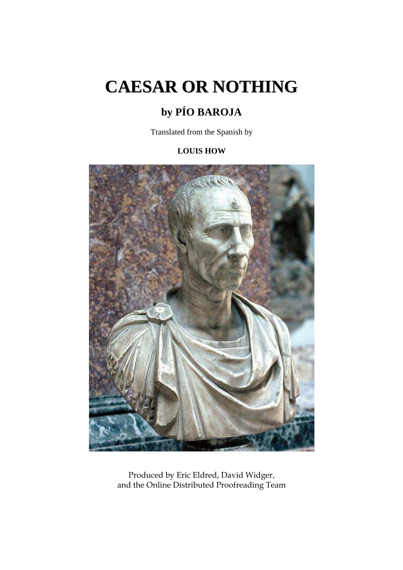# **CAESAR OR NOTHING**

# **by PÍO BAROJA**

Translated from the Spanish by

# **LOUIS HOW**



Produced by Eric Eldred, David Widger, and the Online Distributed Proofreading Team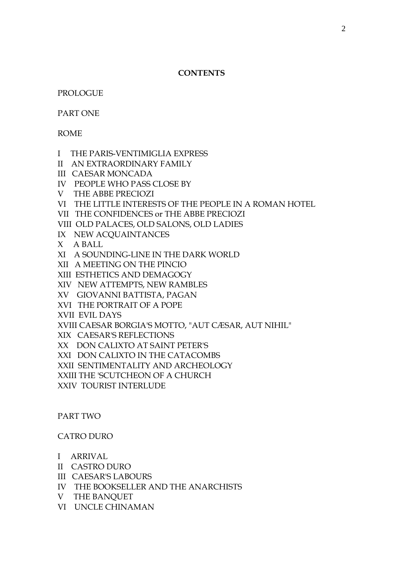#### **CONTENTS**

PROLOGUE

PART ONE

ROME

- I THE PARIS-VENTIMIGLIA EXPRESS
- II AN EXTRAORDINARY FAMILY
- III CAESAR MONCADA
- IV PEOPLE WHO PASS CLOSE BY
- V THE ABBE PRECIOZI
- VI THE LITTLE INTERESTS OF THE PEOPLE IN A ROMAN HOTEL
- VII THE CONFIDENCES or THE ABBE PRECIOZI
- VIII OLD PALACES, OLD SALONS, OLD LADIES
- IX NEW ACQUAINTANCES
- X A BALL
- XI A SOUNDING-LINE IN THE DARK WORLD
- XII A MEETING ON THE PINCIO
- XIII ESTHETICS AND DEMAGOGY
- XIV NEW ATTEMPTS, NEW RAMBLES
- XV GIOVANNI BATTISTA, PAGAN
- XVI THE PORTRAIT OF A POPE
- XVII EVIL DAYS
- XVIII CAESAR BORGIA'S MOTTO, "AUT CÆSAR, AUT NIHIL"
- XIX CAESAR'S REFLECTIONS
- XX DON CALIXTO AT SAINT PETER'S
- XXI DON CALIXTO IN THE CATACOMBS
- XXII SENTIMENTALITY AND ARCHEOLOGY
- XXIII THE 'SCUTCHEON OF A CHURCH
- XXIV TOURIST INTERLUDE

#### PART TWO

#### CATRO DURO

- I ARRIVAL
- II CASTRO DURO
- III CAESAR'S LABOURS
- IV THE BOOKSELLER AND THE ANARCHISTS
- V THE BANQUET
- VI UNCLE CHINAMAN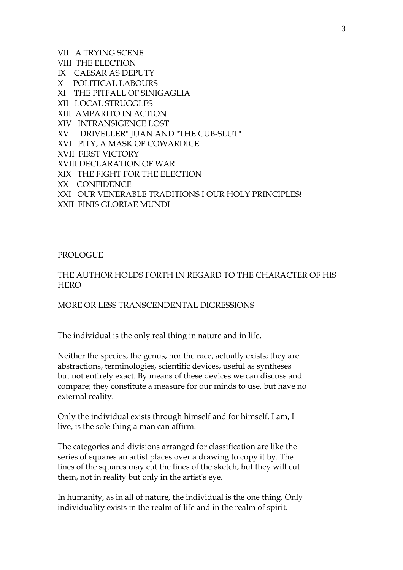VII A TRYING SCENE VIII THE ELECTION IX CAESAR AS DEPUTY X POLITICAL LABOURS XI THE PITFALL OF SINIGAGLIA XII LOCAL STRUGGLES XIII AMPARITO IN ACTION XIV INTRANSIGENCE LOST XV "DRIVELLER" JUAN AND "THE CUB-SLUT" XVI PITY, A MASK OF COWARDICE XVII FIRST VICTORY XVIII DECLARATION OF WAR XIX THE FIGHT FOR THE ELECTION XX CONFIDENCE XXI OUR VENERABLE TRADITIONS I OUR HOLY PRINCIPLES! XXII FINIS GLORIAE MUNDI

PROLOGUE

# THE AUTHOR HOLDS FORTH IN REGARD TO THE CHARACTER OF HIS **HERO**

#### MORE OR LESS TRANSCENDENTAL DIGRESSIONS

The individual is the only real thing in nature and in life.

Neither the species, the genus, nor the race, actually exists; they are abstractions, terminologies, scientific devices, useful as syntheses but not entirely exact. By means of these devices we can discuss and compare; they constitute a measure for our minds to use, but have no external reality.

Only the individual exists through himself and for himself. I am, I live, is the sole thing a man can affirm.

The categories and divisions arranged for classification are like the series of squares an artist places over a drawing to copy it by. The lines of the squares may cut the lines of the sketch; but they will cut them, not in reality but only in the artist's eye.

In humanity, as in all of nature, the individual is the one thing. Only individuality exists in the realm of life and in the realm of spirit.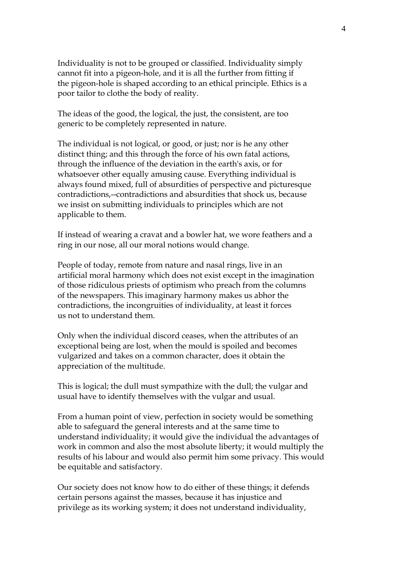Individuality is not to be grouped or classified. Individuality simply cannot fit into a pigeon-hole, and it is all the further from fitting if the pigeon-hole is shaped according to an ethical principle. Ethics is a poor tailor to clothe the body of reality.

The ideas of the good, the logical, the just, the consistent, are too generic to be completely represented in nature.

The individual is not logical, or good, or just; nor is he any other distinct thing; and this through the force of his own fatal actions, through the influence of the deviation in the earth's axis, or for whatsoever other equally amusing cause. Everything individual is always found mixed, full of absurdities of perspective and picturesque contradictions,--contradictions and absurdities that shock us, because we insist on submitting individuals to principles which are not applicable to them.

If instead of wearing a cravat and a bowler hat, we wore feathers and a ring in our nose, all our moral notions would change.

People of today, remote from nature and nasal rings, live in an artificial moral harmony which does not exist except in the imagination of those ridiculous priests of optimism who preach from the columns of the newspapers. This imaginary harmony makes us abhor the contradictions, the incongruities of individuality, at least it forces us not to understand them.

Only when the individual discord ceases, when the attributes of an exceptional being are lost, when the mould is spoiled and becomes vulgarized and takes on a common character, does it obtain the appreciation of the multitude.

This is logical; the dull must sympathize with the dull; the vulgar and usual have to identify themselves with the vulgar and usual.

From a human point of view, perfection in society would be something able to safeguard the general interests and at the same time to understand individuality; it would give the individual the advantages of work in common and also the most absolute liberty; it would multiply the results of his labour and would also permit him some privacy. This would be equitable and satisfactory.

Our society does not know how to do either of these things; it defends certain persons against the masses, because it has injustice and privilege as its working system; it does not understand individuality,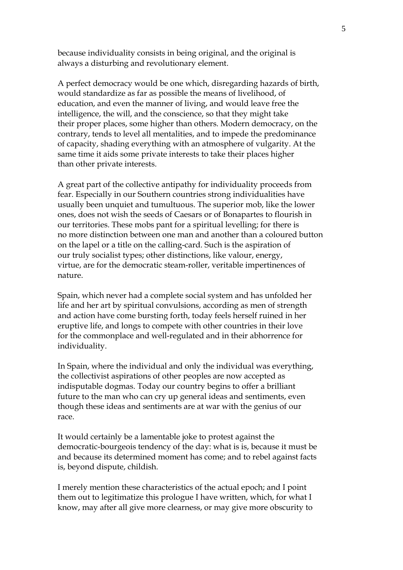because individuality consists in being original, and the original is always a disturbing and revolutionary element.

A perfect democracy would be one which, disregarding hazards of birth, would standardize as far as possible the means of livelihood, of education, and even the manner of living, and would leave free the intelligence, the will, and the conscience, so that they might take their proper places, some higher than others. Modern democracy, on the contrary, tends to level all mentalities, and to impede the predominance of capacity, shading everything with an atmosphere of vulgarity. At the same time it aids some private interests to take their places higher than other private interests.

A great part of the collective antipathy for individuality proceeds from fear. Especially in our Southern countries strong individualities have usually been unquiet and tumultuous. The superior mob, like the lower ones, does not wish the seeds of Caesars or of Bonapartes to flourish in our territories. These mobs pant for a spiritual levelling; for there is no more distinction between one man and another than a coloured button on the lapel or a title on the calling-card. Such is the aspiration of our truly socialist types; other distinctions, like valour, energy, virtue, are for the democratic steam-roller, veritable impertinences of nature.

Spain, which never had a complete social system and has unfolded her life and her art by spiritual convulsions, according as men of strength and action have come bursting forth, today feels herself ruined in her eruptive life, and longs to compete with other countries in their love for the commonplace and well-regulated and in their abhorrence for individuality.

In Spain, where the individual and only the individual was everything, the collectivist aspirations of other peoples are now accepted as indisputable dogmas. Today our country begins to offer a brilliant future to the man who can cry up general ideas and sentiments, even though these ideas and sentiments are at war with the genius of our race.

It would certainly be a lamentable joke to protest against the democratic-bourgeois tendency of the day: what is is, because it must be and because its determined moment has come; and to rebel against facts is, beyond dispute, childish.

I merely mention these characteristics of the actual epoch; and I point them out to legitimatize this prologue I have written, which, for what I know, may after all give more clearness, or may give more obscurity to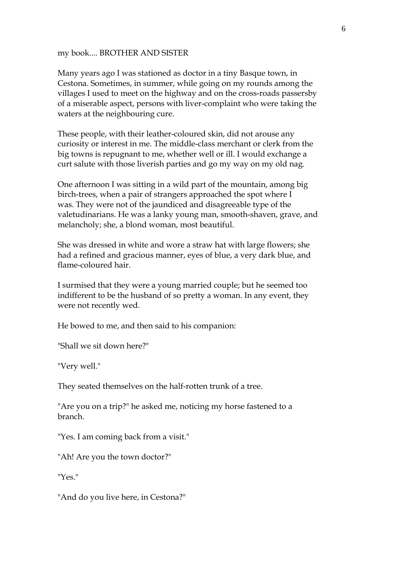my book.... BROTHER AND SISTER

Many years ago I was stationed as doctor in a tiny Basque town, in Cestona. Sometimes, in summer, while going on my rounds among the villages I used to meet on the highway and on the cross-roads passersby of a miserable aspect, persons with liver-complaint who were taking the waters at the neighbouring cure.

These people, with their leather-coloured skin, did not arouse any curiosity or interest in me. The middle-class merchant or clerk from the big towns is repugnant to me, whether well or ill. I would exchange a curt salute with those liverish parties and go my way on my old nag.

One afternoon I was sitting in a wild part of the mountain, among big birch-trees, when a pair of strangers approached the spot where I was. They were not of the jaundiced and disagreeable type of the valetudinarians. He was a lanky young man, smooth-shaven, grave, and melancholy; she, a blond woman, most beautiful.

She was dressed in white and wore a straw hat with large flowers; she had a refined and gracious manner, eyes of blue, a very dark blue, and flame-coloured hair.

I surmised that they were a young married couple; but he seemed too indifferent to be the husband of so pretty a woman. In any event, they were not recently wed.

He bowed to me, and then said to his companion:

"Shall we sit down here?"

"Very well."

They seated themselves on the half-rotten trunk of a tree.

"Are you on a trip?" he asked me, noticing my horse fastened to a branch.

"Yes. I am coming back from a visit."

"Ah! Are you the town doctor?"

"Yes."

"And do you live here, in Cestona?"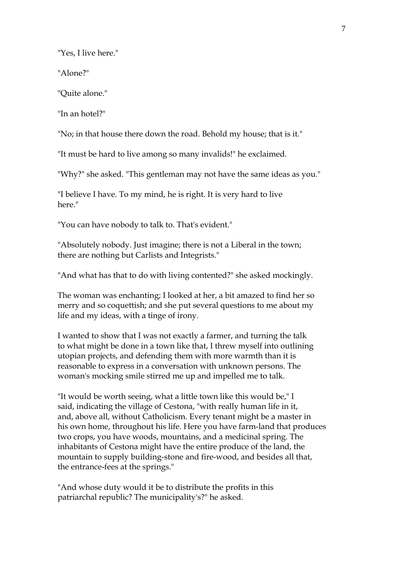"Yes, I live here."

"Alone?"

"Quite alone."

"In an hotel?"

"No; in that house there down the road. Behold my house; that is it."

"It must be hard to live among so many invalids!" he exclaimed.

"Why?" she asked. "This gentleman may not have the same ideas as you."

"I believe I have. To my mind, he is right. It is very hard to live here."

"You can have nobody to talk to. That's evident."

"Absolutely nobody. Just imagine; there is not a Liberal in the town; there are nothing but Carlists and Integrists."

"And what has that to do with living contented?" she asked mockingly.

The woman was enchanting; I looked at her, a bit amazed to find her so merry and so coquettish; and she put several questions to me about my life and my ideas, with a tinge of irony.

I wanted to show that I was not exactly a farmer, and turning the talk to what might be done in a town like that, I threw myself into outlining utopian projects, and defending them with more warmth than it is reasonable to express in a conversation with unknown persons. The woman's mocking smile stirred me up and impelled me to talk.

"It would be worth seeing, what a little town like this would be," I said, indicating the village of Cestona, "with really human life in it, and, above all, without Catholicism. Every tenant might be a master in his own home, throughout his life. Here you have farm-land that produces two crops, you have woods, mountains, and a medicinal spring. The inhabitants of Cestona might have the entire produce of the land, the mountain to supply building-stone and fire-wood, and besides all that, the entrance-fees at the springs."

"And whose duty would it be to distribute the profits in this patriarchal republic? The municipality's?" he asked.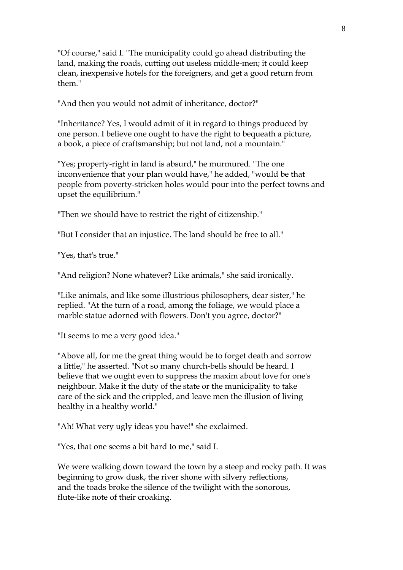"Of course," said I. "The municipality could go ahead distributing the land, making the roads, cutting out useless middle-men; it could keep clean, inexpensive hotels for the foreigners, and get a good return from them."

"And then you would not admit of inheritance, doctor?"

"Inheritance? Yes, I would admit of it in regard to things produced by one person. I believe one ought to have the right to bequeath a picture, a book, a piece of craftsmanship; but not land, not a mountain."

"Yes; property-right in land is absurd," he murmured. "The one inconvenience that your plan would have," he added, "would be that people from poverty-stricken holes would pour into the perfect towns and upset the equilibrium."

"Then we should have to restrict the right of citizenship."

"But I consider that an injustice. The land should be free to all."

"Yes, that's true."

"And religion? None whatever? Like animals," she said ironically.

"Like animals, and like some illustrious philosophers, dear sister," he replied. "At the turn of a road, among the foliage, we would place a marble statue adorned with flowers. Don't you agree, doctor?"

"It seems to me a very good idea."

"Above all, for me the great thing would be to forget death and sorrow a little," he asserted. "Not so many church-bells should be heard. I believe that we ought even to suppress the maxim about love for one's neighbour. Make it the duty of the state or the municipality to take care of the sick and the crippled, and leave men the illusion of living healthy in a healthy world."

"Ah! What very ugly ideas you have!" she exclaimed.

"Yes, that one seems a bit hard to me," said I.

We were walking down toward the town by a steep and rocky path. It was beginning to grow dusk, the river shone with silvery reflections, and the toads broke the silence of the twilight with the sonorous, flute-like note of their croaking.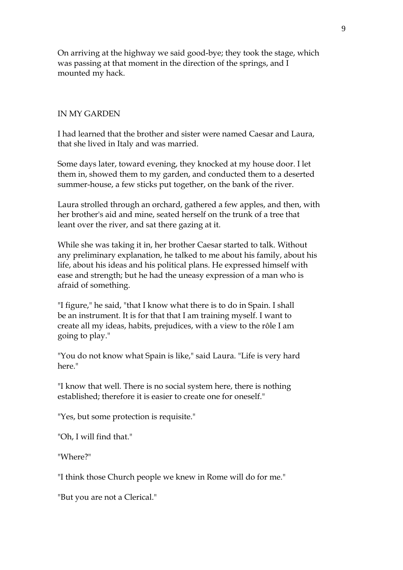On arriving at the highway we said good-bye; they took the stage, which was passing at that moment in the direction of the springs, and I mounted my hack.

#### IN MY GARDEN

I had learned that the brother and sister were named Caesar and Laura, that she lived in Italy and was married.

Some days later, toward evening, they knocked at my house door. I let them in, showed them to my garden, and conducted them to a deserted summer-house, a few sticks put together, on the bank of the river.

Laura strolled through an orchard, gathered a few apples, and then, with her brother's aid and mine, seated herself on the trunk of a tree that leant over the river, and sat there gazing at it.

While she was taking it in, her brother Caesar started to talk. Without any preliminary explanation, he talked to me about his family, about his life, about his ideas and his political plans. He expressed himself with ease and strength; but he had the uneasy expression of a man who is afraid of something.

"I figure," he said, "that I know what there is to do in Spain. I shall be an instrument. It is for that that I am training myself. I want to create all my ideas, habits, prejudices, with a view to the rôle I am going to play."

"You do not know what Spain is like," said Laura. "Life is very hard here."

"I know that well. There is no social system here, there is nothing established; therefore it is easier to create one for oneself."

"Yes, but some protection is requisite."

"Oh, I will find that."

"Where?"

"I think those Church people we knew in Rome will do for me."

"But you are not a Clerical."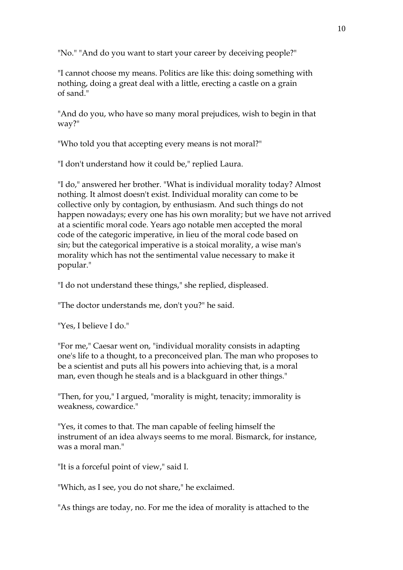"No." "And do you want to start your career by deceiving people?"

"I cannot choose my means. Politics are like this: doing something with nothing, doing a great deal with a little, erecting a castle on a grain of sand."

"And do you, who have so many moral prejudices, wish to begin in that way?"

"Who told you that accepting every means is not moral?"

"I don't understand how it could be," replied Laura.

"I do," answered her brother. "What is individual morality today? Almost nothing. It almost doesn't exist. Individual morality can come to be collective only by contagion, by enthusiasm. And such things do not happen nowadays; every one has his own morality; but we have not arrived at a scientific moral code. Years ago notable men accepted the moral code of the categoric imperative, in lieu of the moral code based on sin; but the categorical imperative is a stoical morality, a wise man's morality which has not the sentimental value necessary to make it popular."

"I do not understand these things," she replied, displeased.

"The doctor understands me, don't you?" he said.

"Yes, I believe I do."

"For me," Caesar went on, "individual morality consists in adapting one's life to a thought, to a preconceived plan. The man who proposes to be a scientist and puts all his powers into achieving that, is a moral man, even though he steals and is a blackguard in other things."

"Then, for you," I argued, "morality is might, tenacity; immorality is weakness, cowardice."

"Yes, it comes to that. The man capable of feeling himself the instrument of an idea always seems to me moral. Bismarck, for instance, was a moral man."

"It is a forceful point of view," said I.

"Which, as I see, you do not share," he exclaimed.

"As things are today, no. For me the idea of morality is attached to the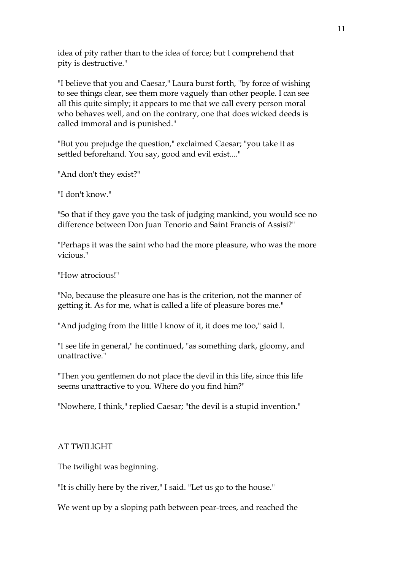idea of pity rather than to the idea of force; but I comprehend that pity is destructive."

"I believe that you and Caesar," Laura burst forth, "by force of wishing to see things clear, see them more vaguely than other people. I can see all this quite simply; it appears to me that we call every person moral who behaves well, and on the contrary, one that does wicked deeds is called immoral and is punished."

"But you prejudge the question," exclaimed Caesar; "you take it as settled beforehand. You say, good and evil exist...."

"And don't they exist?"

"I don't know."

"So that if they gave you the task of judging mankind, you would see no difference between Don Juan Tenorio and Saint Francis of Assisi?"

"Perhaps it was the saint who had the more pleasure, who was the more vicious."

"How atrocious!"

"No, because the pleasure one has is the criterion, not the manner of getting it. As for me, what is called a life of pleasure bores me."

"And judging from the little I know of it, it does me too," said I.

"I see life in general," he continued, "as something dark, gloomy, and unattractive."

"Then you gentlemen do not place the devil in this life, since this life seems unattractive to you. Where do you find him?"

"Nowhere, I think," replied Caesar; "the devil is a stupid invention."

# AT TWILIGHT

The twilight was beginning.

"It is chilly here by the river," I said. "Let us go to the house."

We went up by a sloping path between pear-trees, and reached the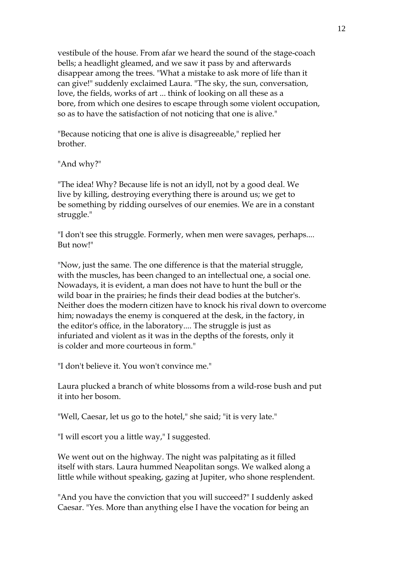vestibule of the house. From afar we heard the sound of the stage-coach bells; a headlight gleamed, and we saw it pass by and afterwards disappear among the trees. "What a mistake to ask more of life than it can give!" suddenly exclaimed Laura. "The sky, the sun, conversation, love, the fields, works of art ... think of looking on all these as a bore, from which one desires to escape through some violent occupation, so as to have the satisfaction of not noticing that one is alive."

"Because noticing that one is alive is disagreeable," replied her brother.

"And why?"

"The idea! Why? Because life is not an idyll, not by a good deal. We live by killing, destroying everything there is around us; we get to be something by ridding ourselves of our enemies. We are in a constant struggle."

"I don't see this struggle. Formerly, when men were savages, perhaps.... But now!"

"Now, just the same. The one difference is that the material struggle, with the muscles, has been changed to an intellectual one, a social one. Nowadays, it is evident, a man does not have to hunt the bull or the wild boar in the prairies; he finds their dead bodies at the butcher's. Neither does the modern citizen have to knock his rival down to overcome him; nowadays the enemy is conquered at the desk, in the factory, in the editor's office, in the laboratory.... The struggle is just as infuriated and violent as it was in the depths of the forests, only it is colder and more courteous in form."

"I don't believe it. You won't convince me."

Laura plucked a branch of white blossoms from a wild-rose bush and put it into her bosom.

"Well, Caesar, let us go to the hotel," she said; "it is very late."

"I will escort you a little way," I suggested.

We went out on the highway. The night was palpitating as it filled itself with stars. Laura hummed Neapolitan songs. We walked along a little while without speaking, gazing at Jupiter, who shone resplendent.

"And you have the conviction that you will succeed?" I suddenly asked Caesar. "Yes. More than anything else I have the vocation for being an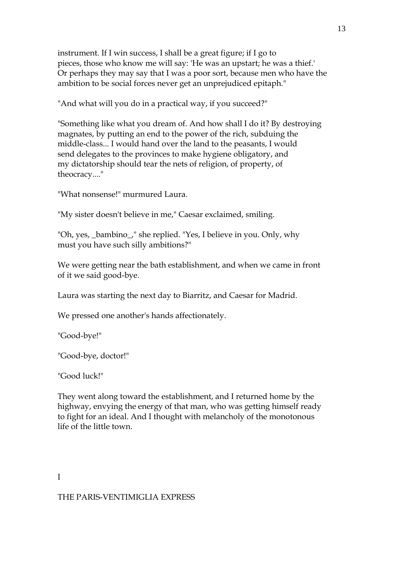instrument. If I win success, I shall be a great figure; if I go to pieces, those who know me will say: 'He was an upstart; he was a thief.' Or perhaps they may say that I was a poor sort, because men who have the ambition to be social forces never get an unprejudiced epitaph."

"And what will you do in a practical way, if you succeed?"

"Something like what you dream of. And how shall I do it? By destroying magnates, by putting an end to the power of the rich, subduing the middle-class... I would hand over the land to the peasants, I would send delegates to the provinces to make hygiene obligatory, and my dictatorship should tear the nets of religion, of property, of theocracy...."

"What nonsense!" murmured Laura.

"My sister doesn't believe in me," Caesar exclaimed, smiling.

"Oh, yes, \_bambino\_," she replied. "Yes, I believe in you. Only, why must you have such silly ambitions?"

We were getting near the bath establishment, and when we came in front of it we said good-bye.

Laura was starting the next day to Biarritz, and Caesar for Madrid.

We pressed one another's hands affectionately.

"Good-bye!"

"Good-bye, doctor!"

"Good luck!"

They went along toward the establishment, and I returned home by the highway, envying the energy of that man, who was getting himself ready to fight for an ideal. And I thought with melancholy of the monotonous life of the little town.

#### I

#### THE PARIS-VENTIMIGLIA EXPRESS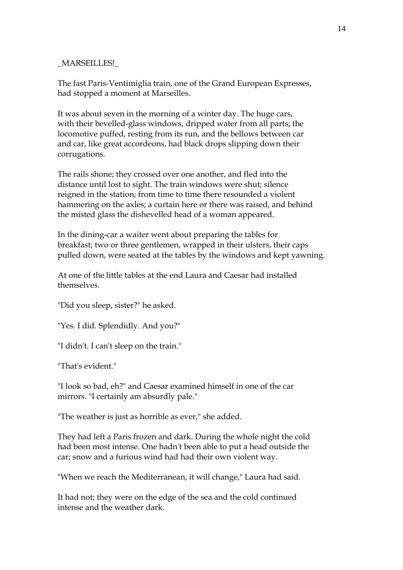#### \_MARSEILLES!\_

The fast Paris-Ventimiglia train, one of the Grand European Expresses, had stopped a moment at Marseilles.

It was about seven in the morning of a winter day. The huge cars, with their bevelled-glass windows, dripped water from all parts; the locomotive puffed, resting from its run, and the bellows between car and car, like great accordeons, had black drops slipping down their corrugations.

The rails shone; they crossed over one another, and fled into the distance until lost to sight. The train windows were shut; silence reigned in the station; from time to time there resounded a violent hammering on the axles; a curtain here or there was raised, and behind the misted glass the dishevelled head of a woman appeared.

In the dining-car a waiter went about preparing the tables for breakfast; two or three gentlemen, wrapped in their ulsters, their caps pulled down, were seated at the tables by the windows and kept yawning.

At one of the little tables at the end Laura and Caesar had installed themselves.

"Did you sleep, sister?" he asked.

"Yes. I did. Splendidly. And you?"

"I didn't. I can't sleep on the train."

"That's evident."

"I look so bad, eh?" and Caesar examined himself in one of the car mirrors. "I certainly am absurdly pale."

"The weather is just as horrible as ever," she added.

They had left a Paris frozen and dark. During the whole night the cold had been most intense. One hadn't been able to put a head outside the car; snow and a furious wind had had their own violent way.

"When we reach the Mediterranean, it will change," Laura had said.

It had not; they were on the edge of the sea and the cold continued intense and the weather dark.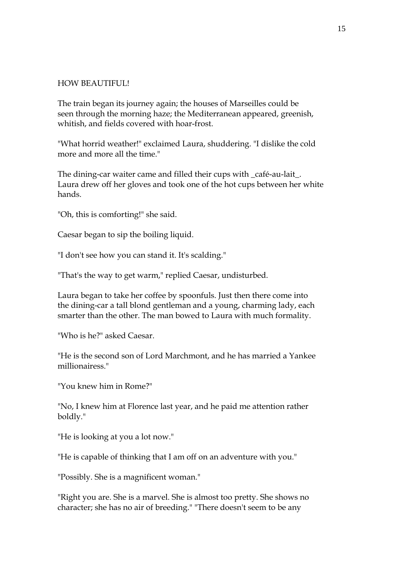#### HOW BEAUTIFUL!

The train began its journey again; the houses of Marseilles could be seen through the morning haze; the Mediterranean appeared, greenish, whitish, and fields covered with hoar-frost.

"What horrid weather!" exclaimed Laura, shuddering. "I dislike the cold more and more all the time."

The dining-car waiter came and filled their cups with \_café-au-lait\_. Laura drew off her gloves and took one of the hot cups between her white hands.

"Oh, this is comforting!" she said.

Caesar began to sip the boiling liquid.

"I don't see how you can stand it. It's scalding."

"That's the way to get warm," replied Caesar, undisturbed.

Laura began to take her coffee by spoonfuls. Just then there come into the dining-car a tall blond gentleman and a young, charming lady, each smarter than the other. The man bowed to Laura with much formality.

"Who is he?" asked Caesar.

"He is the second son of Lord Marchmont, and he has married a Yankee millionairess."

"You knew him in Rome?"

"No, I knew him at Florence last year, and he paid me attention rather boldly."

"He is looking at you a lot now."

"He is capable of thinking that I am off on an adventure with you."

"Possibly. She is a magnificent woman."

"Right you are. She is a marvel. She is almost too pretty. She shows no character; she has no air of breeding." "There doesn't seem to be any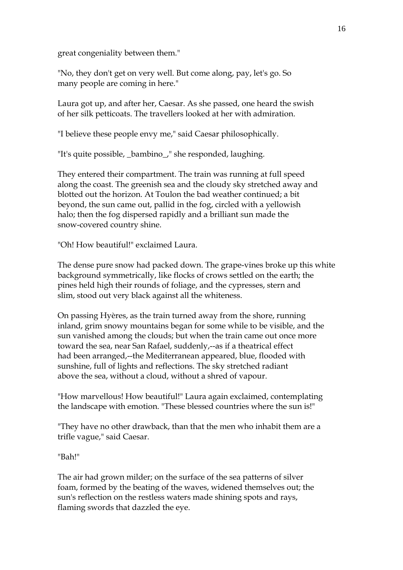great congeniality between them."

"No, they don't get on very well. But come along, pay, let's go. So many people are coming in here."

Laura got up, and after her, Caesar. As she passed, one heard the swish of her silk petticoats. The travellers looked at her with admiration.

"I believe these people envy me," said Caesar philosophically.

"It's quite possible, \_bambino\_," she responded, laughing.

They entered their compartment. The train was running at full speed along the coast. The greenish sea and the cloudy sky stretched away and blotted out the horizon. At Toulon the bad weather continued; a bit beyond, the sun came out, pallid in the fog, circled with a yellowish halo; then the fog dispersed rapidly and a brilliant sun made the snow-covered country shine.

"Oh! How beautiful!" exclaimed Laura.

The dense pure snow had packed down. The grape-vines broke up this white background symmetrically, like flocks of crows settled on the earth; the pines held high their rounds of foliage, and the cypresses, stern and slim, stood out very black against all the whiteness.

On passing Hyères, as the train turned away from the shore, running inland, grim snowy mountains began for some while to be visible, and the sun vanished among the clouds; but when the train came out once more toward the sea, near San Rafael, suddenly,--as if a theatrical effect had been arranged,--the Mediterranean appeared, blue, flooded with sunshine, full of lights and reflections. The sky stretched radiant above the sea, without a cloud, without a shred of vapour.

"How marvellous! How beautiful!" Laura again exclaimed, contemplating the landscape with emotion. "These blessed countries where the sun is!"

"They have no other drawback, than that the men who inhabit them are a trifle vague," said Caesar.

"Bah!"

The air had grown milder; on the surface of the sea patterns of silver foam, formed by the beating of the waves, widened themselves out; the sun's reflection on the restless waters made shining spots and rays, flaming swords that dazzled the eye.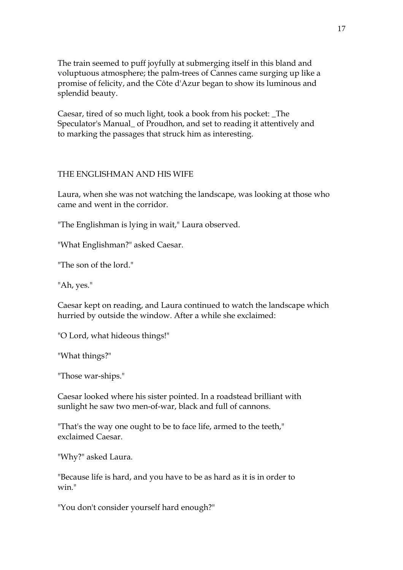The train seemed to puff joyfully at submerging itself in this bland and voluptuous atmosphere; the palm-trees of Cannes came surging up like a promise of felicity, and the Côte d'Azur began to show its luminous and splendid beauty.

Caesar, tired of so much light, took a book from his pocket: \_The Speculator's Manual\_ of Proudhon, and set to reading it attentively and to marking the passages that struck him as interesting.

#### THE ENGLISHMAN AND HIS WIFE

Laura, when she was not watching the landscape, was looking at those who came and went in the corridor.

"The Englishman is lying in wait," Laura observed.

"What Englishman?" asked Caesar.

"The son of the lord."

"Ah, yes."

Caesar kept on reading, and Laura continued to watch the landscape which hurried by outside the window. After a while she exclaimed:

"O Lord, what hideous things!"

"What things?"

"Those war-ships."

Caesar looked where his sister pointed. In a roadstead brilliant with sunlight he saw two men-of-war, black and full of cannons.

"That's the way one ought to be to face life, armed to the teeth," exclaimed Caesar.

"Why?" asked Laura.

"Because life is hard, and you have to be as hard as it is in order to win<sup>"</sup>

"You don't consider yourself hard enough?"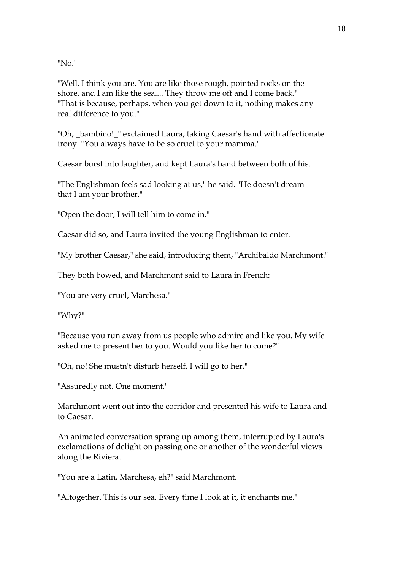"No."

"Well, I think you are. You are like those rough, pointed rocks on the shore, and I am like the sea.... They throw me off and I come back." "That is because, perhaps, when you get down to it, nothing makes any real difference to you."

"Oh, \_bambino!\_" exclaimed Laura, taking Caesar's hand with affectionate irony. "You always have to be so cruel to your mamma."

Caesar burst into laughter, and kept Laura's hand between both of his.

"The Englishman feels sad looking at us," he said. "He doesn't dream that I am your brother."

"Open the door, I will tell him to come in."

Caesar did so, and Laura invited the young Englishman to enter.

"My brother Caesar," she said, introducing them, "Archibaldo Marchmont."

They both bowed, and Marchmont said to Laura in French:

"You are very cruel, Marchesa."

"Why?"

"Because you run away from us people who admire and like you. My wife asked me to present her to you. Would you like her to come?"

"Oh, no! She mustn't disturb herself. I will go to her."

"Assuredly not. One moment."

Marchmont went out into the corridor and presented his wife to Laura and to Caesar.

An animated conversation sprang up among them, interrupted by Laura's exclamations of delight on passing one or another of the wonderful views along the Riviera.

"You are a Latin, Marchesa, eh?" said Marchmont.

"Altogether. This is our sea. Every time I look at it, it enchants me."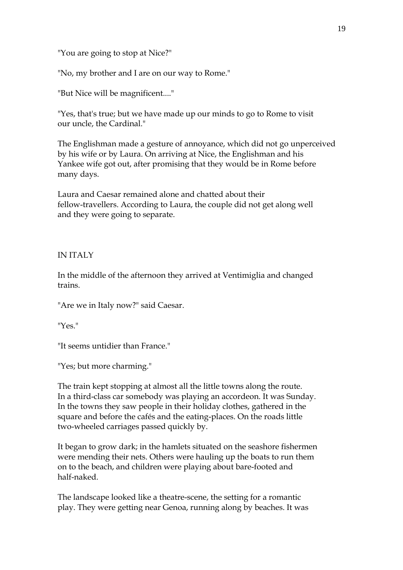"You are going to stop at Nice?"

"No, my brother and I are on our way to Rome."

"But Nice will be magnificent...."

"Yes, that's true; but we have made up our minds to go to Rome to visit our uncle, the Cardinal."

The Englishman made a gesture of annoyance, which did not go unperceived by his wife or by Laura. On arriving at Nice, the Englishman and his Yankee wife got out, after promising that they would be in Rome before many days.

Laura and Caesar remained alone and chatted about their fellow-travellers. According to Laura, the couple did not get along well and they were going to separate.

#### IN ITALY

In the middle of the afternoon they arrived at Ventimiglia and changed trains.

"Are we in Italy now?" said Caesar.

"Yes."

"It seems untidier than France."

"Yes; but more charming."

The train kept stopping at almost all the little towns along the route. In a third-class car somebody was playing an accordeon. It was Sunday. In the towns they saw people in their holiday clothes, gathered in the square and before the cafés and the eating-places. On the roads little two-wheeled carriages passed quickly by.

It began to grow dark; in the hamlets situated on the seashore fishermen were mending their nets. Others were hauling up the boats to run them on to the beach, and children were playing about bare-footed and half-naked.

The landscape looked like a theatre-scene, the setting for a romantic play. They were getting near Genoa, running along by beaches. It was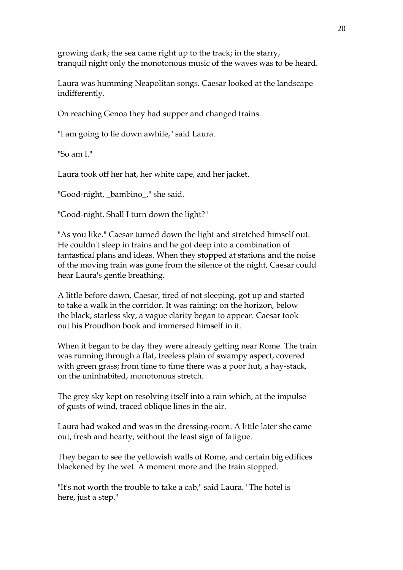growing dark; the sea came right up to the track; in the starry, tranquil night only the monotonous music of the waves was to be heard.

Laura was humming Neapolitan songs. Caesar looked at the landscape indifferently.

On reaching Genoa they had supper and changed trains.

"I am going to lie down awhile," said Laura.

"So am I."

Laura took off her hat, her white cape, and her jacket.

"Good-night, \_bambino\_," she said.

"Good-night. Shall I turn down the light?"

"As you like." Caesar turned down the light and stretched himself out. He couldn't sleep in trains and he got deep into a combination of fantastical plans and ideas. When they stopped at stations and the noise of the moving train was gone from the silence of the night, Caesar could hear Laura's gentle breathing.

A little before dawn, Caesar, tired of not sleeping, got up and started to take a walk in the corridor. It was raining; on the horizon, below the black, starless sky, a vague clarity began to appear. Caesar took out his Proudhon book and immersed himself in it.

When it began to be day they were already getting near Rome. The train was running through a flat, treeless plain of swampy aspect, covered with green grass; from time to time there was a poor hut, a hay-stack, on the uninhabited, monotonous stretch.

The grey sky kept on resolving itself into a rain which, at the impulse of gusts of wind, traced oblique lines in the air.

Laura had waked and was in the dressing-room. A little later she came out, fresh and hearty, without the least sign of fatigue.

They began to see the yellowish walls of Rome, and certain big edifices blackened by the wet. A moment more and the train stopped.

"It's not worth the trouble to take a cab," said Laura. "The hotel is here, just a step."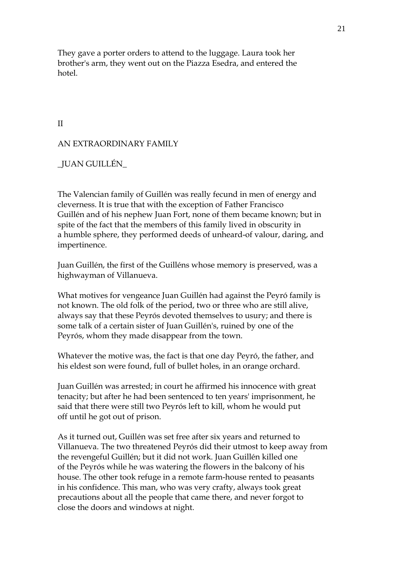They gave a porter orders to attend to the luggage. Laura took her brother's arm, they went out on the Piazza Esedra, and entered the hotel.

II

#### AN EXTRAORDINARY FAMILY

#### \_JUAN GUILLÉN\_

The Valencian family of Guillén was really fecund in men of energy and cleverness. It is true that with the exception of Father Francisco Guillén and of his nephew Juan Fort, none of them became known; but in spite of the fact that the members of this family lived in obscurity in a humble sphere, they performed deeds of unheard-of valour, daring, and impertinence.

Juan Guillén, the first of the Guilléns whose memory is preserved, was a highwayman of Villanueva.

What motives for vengeance Juan Guillén had against the Peyró family is not known. The old folk of the period, two or three who are still alive, always say that these Peyrós devoted themselves to usury; and there is some talk of a certain sister of Juan Guillén's, ruined by one of the Peyrós, whom they made disappear from the town.

Whatever the motive was, the fact is that one day Peyró, the father, and his eldest son were found, full of bullet holes, in an orange orchard.

Juan Guillén was arrested; in court he affirmed his innocence with great tenacity; but after he had been sentenced to ten years' imprisonment, he said that there were still two Peyrós left to kill, whom he would put off until he got out of prison.

As it turned out, Guillén was set free after six years and returned to Villanueva. The two threatened Peyrós did their utmost to keep away from the revengeful Guillén; but it did not work. Juan Guillén killed one of the Peyrós while he was watering the flowers in the balcony of his house. The other took refuge in a remote farm-house rented to peasants in his confidence. This man, who was very crafty, always took great precautions about all the people that came there, and never forgot to close the doors and windows at night.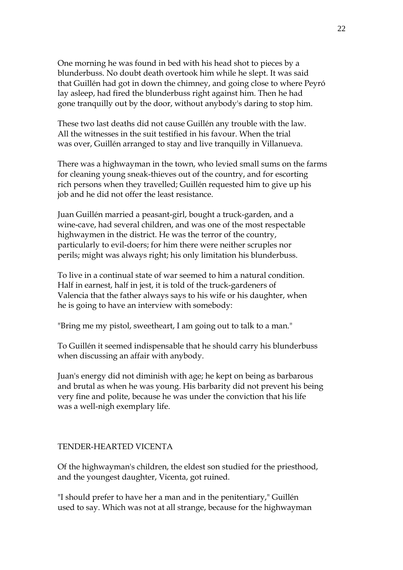One morning he was found in bed with his head shot to pieces by a blunderbuss. No doubt death overtook him while he slept. It was said that Guillén had got in down the chimney, and going close to where Peyró lay asleep, had fired the blunderbuss right against him. Then he had gone tranquilly out by the door, without anybody's daring to stop him.

These two last deaths did not cause Guillén any trouble with the law. All the witnesses in the suit testified in his favour. When the trial was over, Guillén arranged to stay and live tranquilly in Villanueva.

There was a highwayman in the town, who levied small sums on the farms for cleaning young sneak-thieves out of the country, and for escorting rich persons when they travelled; Guillén requested him to give up his job and he did not offer the least resistance.

Juan Guillén married a peasant-girl, bought a truck-garden, and a wine-cave, had several children, and was one of the most respectable highwaymen in the district. He was the terror of the country, particularly to evil-doers; for him there were neither scruples nor perils; might was always right; his only limitation his blunderbuss.

To live in a continual state of war seemed to him a natural condition. Half in earnest, half in jest, it is told of the truck-gardeners of Valencia that the father always says to his wife or his daughter, when he is going to have an interview with somebody:

"Bring me my pistol, sweetheart, I am going out to talk to a man."

To Guillén it seemed indispensable that he should carry his blunderbuss when discussing an affair with anybody.

Juan's energy did not diminish with age; he kept on being as barbarous and brutal as when he was young. His barbarity did not prevent his being very fine and polite, because he was under the conviction that his life was a well-nigh exemplary life.

#### TENDER-HEARTED VICENTA

Of the highwayman's children, the eldest son studied for the priesthood, and the youngest daughter, Vicenta, got ruined.

"I should prefer to have her a man and in the penitentiary," Guillén used to say. Which was not at all strange, because for the highwayman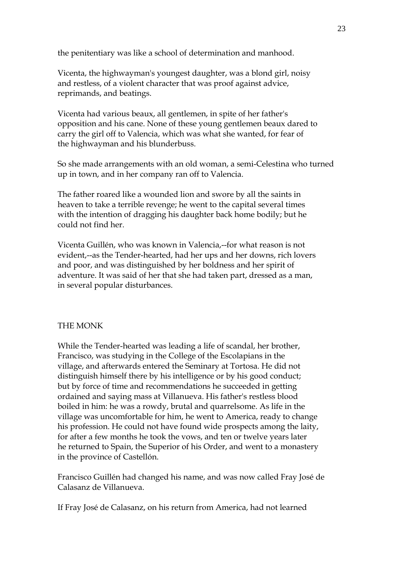the penitentiary was like a school of determination and manhood.

Vicenta, the highwayman's youngest daughter, was a blond girl, noisy and restless, of a violent character that was proof against advice, reprimands, and beatings.

Vicenta had various beaux, all gentlemen, in spite of her father's opposition and his cane. None of these young gentlemen beaux dared to carry the girl off to Valencia, which was what she wanted, for fear of the highwayman and his blunderbuss.

So she made arrangements with an old woman, a semi-Celestina who turned up in town, and in her company ran off to Valencia.

The father roared like a wounded lion and swore by all the saints in heaven to take a terrible revenge; he went to the capital several times with the intention of dragging his daughter back home bodily; but he could not find her.

Vicenta Guillén, who was known in Valencia,--for what reason is not evident,--as the Tender-hearted, had her ups and her downs, rich lovers and poor, and was distinguished by her boldness and her spirit of adventure. It was said of her that she had taken part, dressed as a man, in several popular disturbances.

#### THE MONK

While the Tender-hearted was leading a life of scandal, her brother, Francisco, was studying in the College of the Escolapians in the village, and afterwards entered the Seminary at Tortosa. He did not distinguish himself there by his intelligence or by his good conduct; but by force of time and recommendations he succeeded in getting ordained and saying mass at Villanueva. His father's restless blood boiled in him: he was a rowdy, brutal and quarrelsome. As life in the village was uncomfortable for him, he went to America, ready to change his profession. He could not have found wide prospects among the laity, for after a few months he took the vows, and ten or twelve years later he returned to Spain, the Superior of his Order, and went to a monastery in the province of Castellón.

Francisco Guillén had changed his name, and was now called Fray José de Calasanz de Villanueva.

If Fray José de Calasanz, on his return from America, had not learned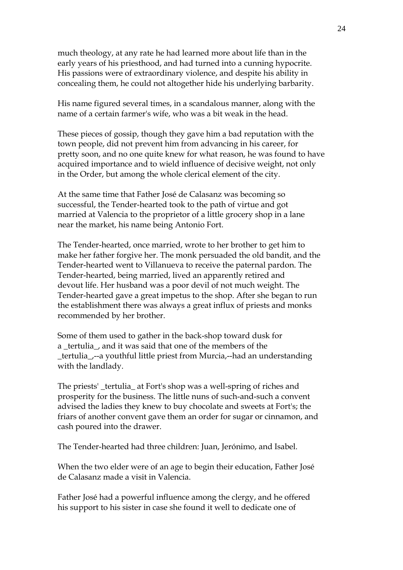much theology, at any rate he had learned more about life than in the early years of his priesthood, and had turned into a cunning hypocrite. His passions were of extraordinary violence, and despite his ability in concealing them, he could not altogether hide his underlying barbarity.

His name figured several times, in a scandalous manner, along with the name of a certain farmer's wife, who was a bit weak in the head.

These pieces of gossip, though they gave him a bad reputation with the town people, did not prevent him from advancing in his career, for pretty soon, and no one quite knew for what reason, he was found to have acquired importance and to wield influence of decisive weight, not only in the Order, but among the whole clerical element of the city.

At the same time that Father José de Calasanz was becoming so successful, the Tender-hearted took to the path of virtue and got married at Valencia to the proprietor of a little grocery shop in a lane near the market, his name being Antonio Fort.

The Tender-hearted, once married, wrote to her brother to get him to make her father forgive her. The monk persuaded the old bandit, and the Tender-hearted went to Villanueva to receive the paternal pardon. The Tender-hearted, being married, lived an apparently retired and devout life. Her husband was a poor devil of not much weight. The Tender-hearted gave a great impetus to the shop. After she began to run the establishment there was always a great influx of priests and monks recommended by her brother.

Some of them used to gather in the back-shop toward dusk for a \_tertulia\_, and it was said that one of the members of the \_tertulia\_,--a youthful little priest from Murcia,--had an understanding with the landlady.

The priests' \_tertulia\_ at Fort's shop was a well-spring of riches and prosperity for the business. The little nuns of such-and-such a convent advised the ladies they knew to buy chocolate and sweets at Fort's; the friars of another convent gave them an order for sugar or cinnamon, and cash poured into the drawer.

The Tender-hearted had three children: Juan, Jerónimo, and Isabel.

When the two elder were of an age to begin their education, Father José de Calasanz made a visit in Valencia.

Father José had a powerful influence among the clergy, and he offered his support to his sister in case she found it well to dedicate one of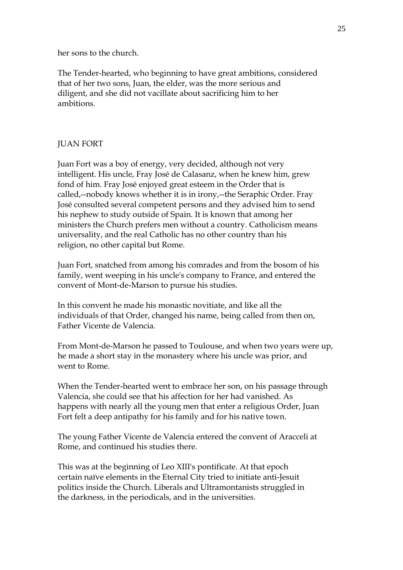her sons to the church.

The Tender-hearted, who beginning to have great ambitions, considered that of her two sons, Juan, the elder, was the more serious and diligent, and she did not vacillate about sacrificing him to her ambitions.

# JUAN FORT

Juan Fort was a boy of energy, very decided, although not very intelligent. His uncle, Fray José de Calasanz, when he knew him, grew fond of him. Fray José enjoyed great esteem in the Order that is called,--nobody knows whether it is in irony,--the Seraphic Order. Fray José consulted several competent persons and they advised him to send his nephew to study outside of Spain. It is known that among her ministers the Church prefers men without a country. Catholicism means universality, and the real Catholic has no other country than his religion, no other capital but Rome.

Juan Fort, snatched from among his comrades and from the bosom of his family, went weeping in his uncle's company to France, and entered the convent of Mont-de-Marson to pursue his studies.

In this convent he made his monastic novitiate, and like all the individuals of that Order, changed his name, being called from then on, Father Vicente de Valencia.

From Mont-de-Marson he passed to Toulouse, and when two years were up, he made a short stay in the monastery where his uncle was prior, and went to Rome.

When the Tender-hearted went to embrace her son, on his passage through Valencia, she could see that his affection for her had vanished. As happens with nearly all the young men that enter a religious Order, Juan Fort felt a deep antipathy for his family and for his native town.

The young Father Vicente de Valencia entered the convent of Aracceli at Rome, and continued his studies there.

This was at the beginning of Leo XIII's pontificate. At that epoch certain naïve elements in the Eternal City tried to initiate anti-Jesuit politics inside the Church. Liberals and Ultramontanists struggled in the darkness, in the periodicals, and in the universities.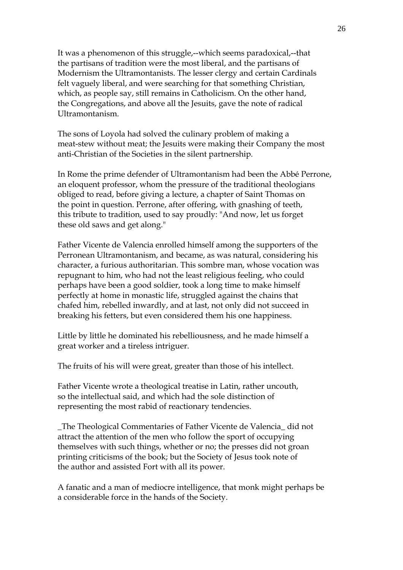It was a phenomenon of this struggle,--which seems paradoxical,--that the partisans of tradition were the most liberal, and the partisans of Modernism the Ultramontanists. The lesser clergy and certain Cardinals felt vaguely liberal, and were searching for that something Christian, which, as people say, still remains in Catholicism. On the other hand, the Congregations, and above all the Jesuits, gave the note of radical Ultramontanism.

The sons of Loyola had solved the culinary problem of making a meat-stew without meat; the Jesuits were making their Company the most anti-Christian of the Societies in the silent partnership.

In Rome the prime defender of Ultramontanism had been the Abbé Perrone, an eloquent professor, whom the pressure of the traditional theologians obliged to read, before giving a lecture, a chapter of Saint Thomas on the point in question. Perrone, after offering, with gnashing of teeth, this tribute to tradition, used to say proudly: "And now, let us forget these old saws and get along."

Father Vicente de Valencia enrolled himself among the supporters of the Perronean Ultramontanism, and became, as was natural, considering his character, a furious authoritarian. This sombre man, whose vocation was repugnant to him, who had not the least religious feeling, who could perhaps have been a good soldier, took a long time to make himself perfectly at home in monastic life, struggled against the chains that chafed him, rebelled inwardly, and at last, not only did not succeed in breaking his fetters, but even considered them his one happiness.

Little by little he dominated his rebelliousness, and he made himself a great worker and a tireless intriguer.

The fruits of his will were great, greater than those of his intellect.

Father Vicente wrote a theological treatise in Latin, rather uncouth, so the intellectual said, and which had the sole distinction of representing the most rabid of reactionary tendencies.

\_The Theological Commentaries of Father Vicente de Valencia\_ did not attract the attention of the men who follow the sport of occupying themselves with such things, whether or no; the presses did not groan printing criticisms of the book; but the Society of Jesus took note of the author and assisted Fort with all its power.

A fanatic and a man of mediocre intelligence, that monk might perhaps be a considerable force in the hands of the Society.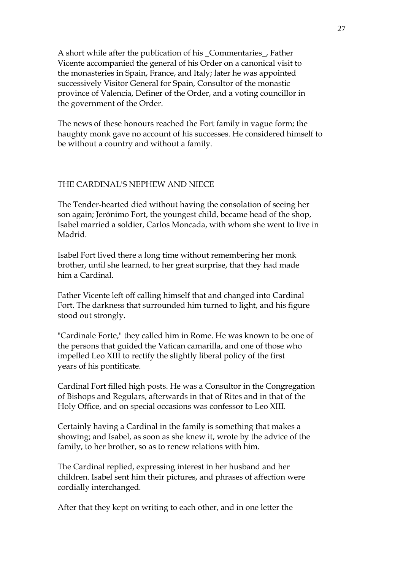A short while after the publication of his \_Commentaries\_, Father Vicente accompanied the general of his Order on a canonical visit to the monasteries in Spain, France, and Italy; later he was appointed successively Visitor General for Spain, Consultor of the monastic province of Valencia, Definer of the Order, and a voting councillor in the government of the Order.

The news of these honours reached the Fort family in vague form; the haughty monk gave no account of his successes. He considered himself to be without a country and without a family.

#### THE CARDINAL'S NEPHEW AND NIECE

The Tender-hearted died without having the consolation of seeing her son again; Jerónimo Fort, the youngest child, became head of the shop, Isabel married a soldier, Carlos Moncada, with whom she went to live in Madrid.

Isabel Fort lived there a long time without remembering her monk brother, until she learned, to her great surprise, that they had made him a Cardinal.

Father Vicente left off calling himself that and changed into Cardinal Fort. The darkness that surrounded him turned to light, and his figure stood out strongly.

"Cardinale Forte," they called him in Rome. He was known to be one of the persons that guided the Vatican camarilla, and one of those who impelled Leo XIII to rectify the slightly liberal policy of the first years of his pontificate.

Cardinal Fort filled high posts. He was a Consultor in the Congregation of Bishops and Regulars, afterwards in that of Rites and in that of the Holy Office, and on special occasions was confessor to Leo XIII.

Certainly having a Cardinal in the family is something that makes a showing; and Isabel, as soon as she knew it, wrote by the advice of the family, to her brother, so as to renew relations with him.

The Cardinal replied, expressing interest in her husband and her children. Isabel sent him their pictures, and phrases of affection were cordially interchanged.

After that they kept on writing to each other, and in one letter the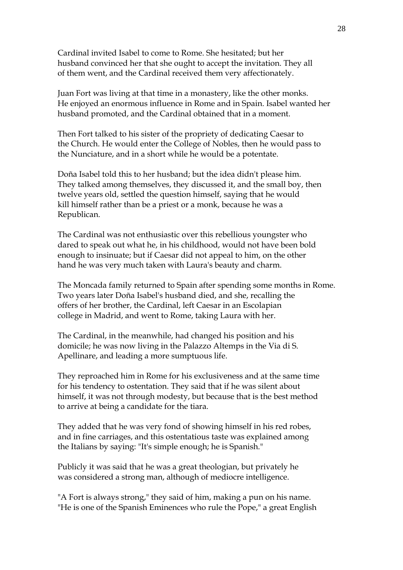Cardinal invited Isabel to come to Rome. She hesitated; but her husband convinced her that she ought to accept the invitation. They all of them went, and the Cardinal received them very affectionately.

Juan Fort was living at that time in a monastery, like the other monks. He enjoyed an enormous influence in Rome and in Spain. Isabel wanted her husband promoted, and the Cardinal obtained that in a moment.

Then Fort talked to his sister of the propriety of dedicating Caesar to the Church. He would enter the College of Nobles, then he would pass to the Nunciature, and in a short while he would be a potentate.

Doña Isabel told this to her husband; but the idea didn't please him. They talked among themselves, they discussed it, and the small boy, then twelve years old, settled the question himself, saying that he would kill himself rather than be a priest or a monk, because he was a Republican.

The Cardinal was not enthusiastic over this rebellious youngster who dared to speak out what he, in his childhood, would not have been bold enough to insinuate; but if Caesar did not appeal to him, on the other hand he was very much taken with Laura's beauty and charm.

The Moncada family returned to Spain after spending some months in Rome. Two years later Doña Isabel's husband died, and she, recalling the offers of her brother, the Cardinal, left Caesar in an Escolapian college in Madrid, and went to Rome, taking Laura with her.

The Cardinal, in the meanwhile, had changed his position and his domicile; he was now living in the Palazzo Altemps in the Via di S. Apellinare, and leading a more sumptuous life.

They reproached him in Rome for his exclusiveness and at the same time for his tendency to ostentation. They said that if he was silent about himself, it was not through modesty, but because that is the best method to arrive at being a candidate for the tiara.

They added that he was very fond of showing himself in his red robes, and in fine carriages, and this ostentatious taste was explained among the Italians by saying: "It's simple enough; he is Spanish."

Publicly it was said that he was a great theologian, but privately he was considered a strong man, although of mediocre intelligence.

"A Fort is always strong," they said of him, making a pun on his name. "He is one of the Spanish Eminences who rule the Pope," a great English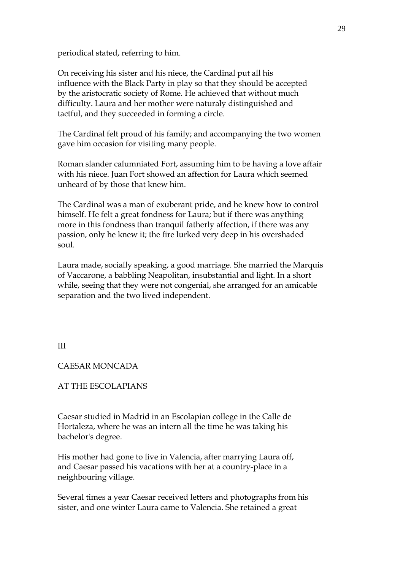periodical stated, referring to him.

On receiving his sister and his niece, the Cardinal put all his influence with the Black Party in play so that they should be accepted by the aristocratic society of Rome. He achieved that without much difficulty. Laura and her mother were naturaly distinguished and tactful, and they succeeded in forming a circle.

The Cardinal felt proud of his family; and accompanying the two women gave him occasion for visiting many people.

Roman slander calumniated Fort, assuming him to be having a love affair with his niece. Juan Fort showed an affection for Laura which seemed unheard of by those that knew him.

The Cardinal was a man of exuberant pride, and he knew how to control himself. He felt a great fondness for Laura; but if there was anything more in this fondness than tranquil fatherly affection, if there was any passion, only he knew it; the fire lurked very deep in his overshaded soul.

Laura made, socially speaking, a good marriage. She married the Marquis of Vaccarone, a babbling Neapolitan, insubstantial and light. In a short while, seeing that they were not congenial, she arranged for an amicable separation and the two lived independent.

#### III

#### CAESAR MONCADA

AT THE ESCOLAPIANS

Caesar studied in Madrid in an Escolapian college in the Calle de Hortaleza, where he was an intern all the time he was taking his bachelor's degree.

His mother had gone to live in Valencia, after marrying Laura off, and Caesar passed his vacations with her at a country-place in a neighbouring village.

Several times a year Caesar received letters and photographs from his sister, and one winter Laura came to Valencia. She retained a great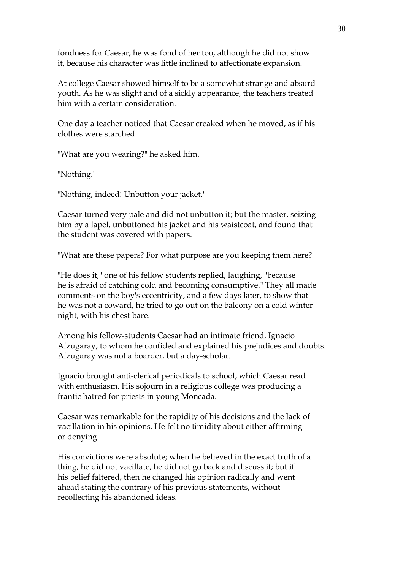fondness for Caesar; he was fond of her too, although he did not show it, because his character was little inclined to affectionate expansion.

At college Caesar showed himself to be a somewhat strange and absurd youth. As he was slight and of a sickly appearance, the teachers treated him with a certain consideration.

One day a teacher noticed that Caesar creaked when he moved, as if his clothes were starched.

"What are you wearing?" he asked him.

"Nothing."

"Nothing, indeed! Unbutton your jacket."

Caesar turned very pale and did not unbutton it; but the master, seizing him by a lapel, unbuttoned his jacket and his waistcoat, and found that the student was covered with papers.

"What are these papers? For what purpose are you keeping them here?"

"He does it," one of his fellow students replied, laughing, "because he is afraid of catching cold and becoming consumptive." They all made comments on the boy's eccentricity, and a few days later, to show that he was not a coward, he tried to go out on the balcony on a cold winter night, with his chest bare.

Among his fellow-students Caesar had an intimate friend, Ignacio Alzugaray, to whom he confided and explained his prejudices and doubts. Alzugaray was not a boarder, but a day-scholar.

Ignacio brought anti-clerical periodicals to school, which Caesar read with enthusiasm. His sojourn in a religious college was producing a frantic hatred for priests in young Moncada.

Caesar was remarkable for the rapidity of his decisions and the lack of vacillation in his opinions. He felt no timidity about either affirming or denying.

His convictions were absolute; when he believed in the exact truth of a thing, he did not vacillate, he did not go back and discuss it; but if his belief faltered, then he changed his opinion radically and went ahead stating the contrary of his previous statements, without recollecting his abandoned ideas.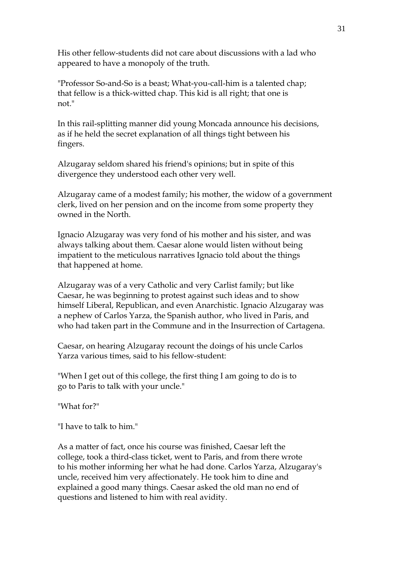His other fellow-students did not care about discussions with a lad who appeared to have a monopoly of the truth.

"Professor So-and-So is a beast; What-you-call-him is a talented chap; that fellow is a thick-witted chap. This kid is all right; that one is not."

In this rail-splitting manner did young Moncada announce his decisions, as if he held the secret explanation of all things tight between his fingers.

Alzugaray seldom shared his friend's opinions; but in spite of this divergence they understood each other very well.

Alzugaray came of a modest family; his mother, the widow of a government clerk, lived on her pension and on the income from some property they owned in the North.

Ignacio Alzugaray was very fond of his mother and his sister, and was always talking about them. Caesar alone would listen without being impatient to the meticulous narratives Ignacio told about the things that happened at home.

Alzugaray was of a very Catholic and very Carlist family; but like Caesar, he was beginning to protest against such ideas and to show himself Liberal, Republican, and even Anarchistic. Ignacio Alzugaray was a nephew of Carlos Yarza, the Spanish author, who lived in Paris, and who had taken part in the Commune and in the Insurrection of Cartagena.

Caesar, on hearing Alzugaray recount the doings of his uncle Carlos Yarza various times, said to his fellow-student:

"When I get out of this college, the first thing I am going to do is to go to Paris to talk with your uncle."

"What for?"

"I have to talk to him."

As a matter of fact, once his course was finished, Caesar left the college, took a third-class ticket, went to Paris, and from there wrote to his mother informing her what he had done. Carlos Yarza, Alzugaray's uncle, received him very affectionately. He took him to dine and explained a good many things. Caesar asked the old man no end of questions and listened to him with real avidity.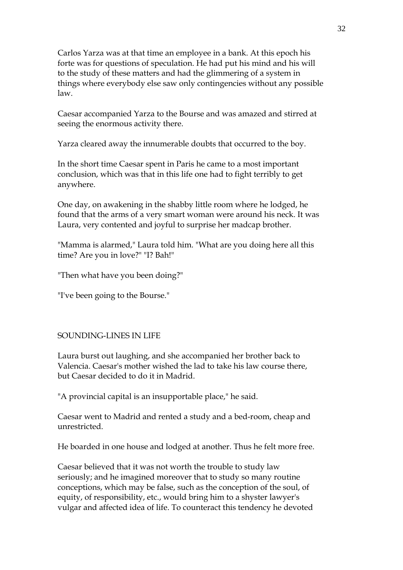Carlos Yarza was at that time an employee in a bank. At this epoch his forte was for questions of speculation. He had put his mind and his will to the study of these matters and had the glimmering of a system in things where everybody else saw only contingencies without any possible law.

Caesar accompanied Yarza to the Bourse and was amazed and stirred at seeing the enormous activity there.

Yarza cleared away the innumerable doubts that occurred to the boy.

In the short time Caesar spent in Paris he came to a most important conclusion, which was that in this life one had to fight terribly to get anywhere.

One day, on awakening in the shabby little room where he lodged, he found that the arms of a very smart woman were around his neck. It was Laura, very contented and joyful to surprise her madcap brother.

"Mamma is alarmed," Laura told him. "What are you doing here all this time? Are you in love?" "I? Bah!"

"Then what have you been doing?"

"I've been going to the Bourse."

#### SOUNDING-LINES IN LIFE

Laura burst out laughing, and she accompanied her brother back to Valencia. Caesar's mother wished the lad to take his law course there, but Caesar decided to do it in Madrid.

"A provincial capital is an insupportable place," he said.

Caesar went to Madrid and rented a study and a bed-room, cheap and unrestricted.

He boarded in one house and lodged at another. Thus he felt more free.

Caesar believed that it was not worth the trouble to study law seriously; and he imagined moreover that to study so many routine conceptions, which may be false, such as the conception of the soul, of equity, of responsibility, etc., would bring him to a shyster lawyer's vulgar and affected idea of life. To counteract this tendency he devoted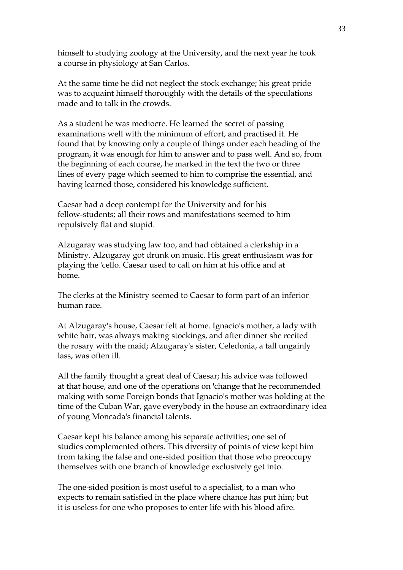himself to studying zoology at the University, and the next year he took a course in physiology at San Carlos.

At the same time he did not neglect the stock exchange; his great pride was to acquaint himself thoroughly with the details of the speculations made and to talk in the crowds.

As a student he was mediocre. He learned the secret of passing examinations well with the minimum of effort, and practised it. He found that by knowing only a couple of things under each heading of the program, it was enough for him to answer and to pass well. And so, from the beginning of each course, he marked in the text the two or three lines of every page which seemed to him to comprise the essential, and having learned those, considered his knowledge sufficient.

Caesar had a deep contempt for the University and for his fellow-students; all their rows and manifestations seemed to him repulsively flat and stupid.

Alzugaray was studying law too, and had obtained a clerkship in a Ministry. Alzugaray got drunk on music. His great enthusiasm was for playing the 'cello. Caesar used to call on him at his office and at home.

The clerks at the Ministry seemed to Caesar to form part of an inferior human race.

At Alzugaray's house, Caesar felt at home. Ignacio's mother, a lady with white hair, was always making stockings, and after dinner she recited the rosary with the maid; Alzugaray's sister, Celedonia, a tall ungainly lass, was often ill.

All the family thought a great deal of Caesar; his advice was followed at that house, and one of the operations on 'change that he recommended making with some Foreign bonds that Ignacio's mother was holding at the time of the Cuban War, gave everybody in the house an extraordinary idea of young Moncada's financial talents.

Caesar kept his balance among his separate activities; one set of studies complemented others. This diversity of points of view kept him from taking the false and one-sided position that those who preoccupy themselves with one branch of knowledge exclusively get into.

The one-sided position is most useful to a specialist, to a man who expects to remain satisfied in the place where chance has put him; but it is useless for one who proposes to enter life with his blood afire.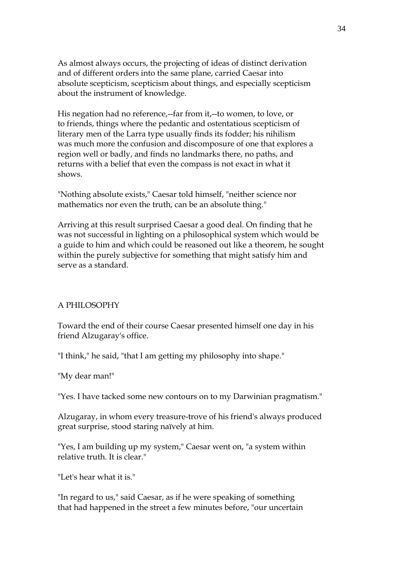As almost always occurs, the projecting of ideas of distinct derivation and of different orders into the same plane, carried Caesar into absolute scepticism, scepticism about things, and especially scepticism about the instrument of knowledge.

His negation had no reference,--far from it,--to women, to love, or to friends, things where the pedantic and ostentatious scepticism of literary men of the Larra type usually finds its fodder; his nihilism was much more the confusion and discomposure of one that explores a region well or badly, and finds no landmarks there, no paths, and returns with a belief that even the compass is not exact in what it shows.

"Nothing absolute exists," Caesar told himself, "neither science nor mathematics nor even the truth, can be an absolute thing."

Arriving at this result surprised Caesar a good deal. On finding that he was not successful in lighting on a philosophical system which would be a guide to him and which could be reasoned out like a theorem, he sought within the purely subjective for something that might satisfy him and serve as a standard.

#### A PHILOSOPHY

Toward the end of their course Caesar presented himself one day in his friend Alzugaray's office.

"I think," he said, "that I am getting my philosophy into shape."

"My dear man!"

"Yes. I have tacked some new contours on to my Darwinian pragmatism."

Alzugaray, in whom every treasure-trove of his friend's always produced great surprise, stood staring naïvely at him.

"Yes, I am building up my system," Caesar went on, "a system within relative truth. It is clear."

"Let's hear what it is."

"In regard to us," said Caesar, as if he were speaking of something that had happened in the street a few minutes before, "our uncertain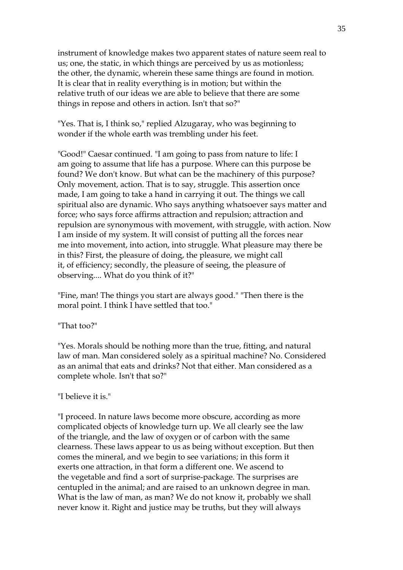instrument of knowledge makes two apparent states of nature seem real to us; one, the static, in which things are perceived by us as motionless; the other, the dynamic, wherein these same things are found in motion. It is clear that in reality everything is in motion; but within the relative truth of our ideas we are able to believe that there are some things in repose and others in action. Isn't that so?"

"Yes. That is, I think so," replied Alzugaray, who was beginning to wonder if the whole earth was trembling under his feet.

"Good!" Caesar continued. "I am going to pass from nature to life: I am going to assume that life has a purpose. Where can this purpose be found? We don't know. But what can be the machinery of this purpose? Only movement, action. That is to say, struggle. This assertion once made, I am going to take a hand in carrying it out. The things we call spiritual also are dynamic. Who says anything whatsoever says matter and force; who says force affirms attraction and repulsion; attraction and repulsion are synonymous with movement, with struggle, with action. Now I am inside of my system. It will consist of putting all the forces near me into movement, into action, into struggle. What pleasure may there be in this? First, the pleasure of doing, the pleasure, we might call it, of efficiency; secondly, the pleasure of seeing, the pleasure of observing.... What do you think of it?"

"Fine, man! The things you start are always good." "Then there is the moral point. I think I have settled that too."

#### "That too?"

"Yes. Morals should be nothing more than the true, fitting, and natural law of man. Man considered solely as a spiritual machine? No. Considered as an animal that eats and drinks? Not that either. Man considered as a complete whole. Isn't that so?"

#### "I believe it is."

"I proceed. In nature laws become more obscure, according as more complicated objects of knowledge turn up. We all clearly see the law of the triangle, and the law of oxygen or of carbon with the same clearness. These laws appear to us as being without exception. But then comes the mineral, and we begin to see variations; in this form it exerts one attraction, in that form a different one. We ascend to the vegetable and find a sort of surprise-package. The surprises are centupled in the animal; and are raised to an unknown degree in man. What is the law of man, as man? We do not know it, probably we shall never know it. Right and justice may be truths, but they will always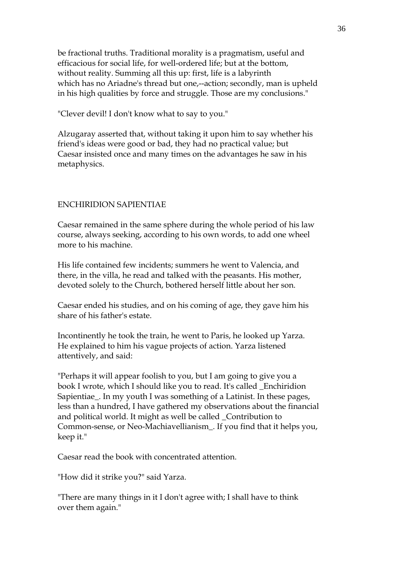be fractional truths. Traditional morality is a pragmatism, useful and efficacious for social life, for well-ordered life; but at the bottom, without reality. Summing all this up: first, life is a labyrinth which has no Ariadne's thread but one,--action; secondly, man is upheld in his high qualities by force and struggle. Those are my conclusions."

"Clever devil! I don't know what to say to you."

Alzugaray asserted that, without taking it upon him to say whether his friend's ideas were good or bad, they had no practical value; but Caesar insisted once and many times on the advantages he saw in his metaphysics.

#### ENCHIRIDION SAPIENTIAE

Caesar remained in the same sphere during the whole period of his law course, always seeking, according to his own words, to add one wheel more to his machine.

His life contained few incidents; summers he went to Valencia, and there, in the villa, he read and talked with the peasants. His mother, devoted solely to the Church, bothered herself little about her son.

Caesar ended his studies, and on his coming of age, they gave him his share of his father's estate.

Incontinently he took the train, he went to Paris, he looked up Yarza. He explained to him his vague projects of action. Yarza listened attentively, and said:

"Perhaps it will appear foolish to you, but I am going to give you a book I wrote, which I should like you to read. It's called \_Enchiridion Sapientiae\_. In my youth I was something of a Latinist. In these pages, less than a hundred, I have gathered my observations about the financial and political world. It might as well be called \_Contribution to Common-sense, or Neo-Machiavellianism\_. If you find that it helps you, keep it."

Caesar read the book with concentrated attention.

"How did it strike you?" said Yarza.

"There are many things in it I don't agree with; I shall have to think over them again."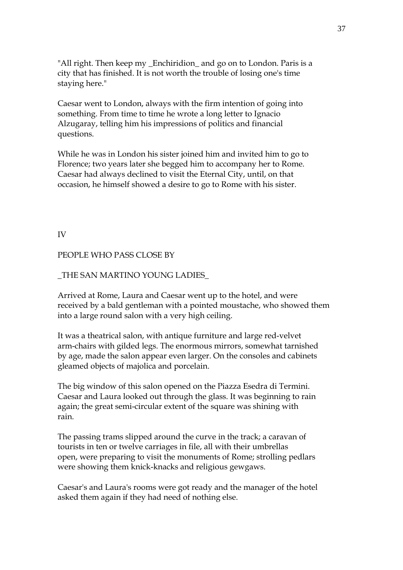"All right. Then keep my \_Enchiridion\_ and go on to London. Paris is a city that has finished. It is not worth the trouble of losing one's time staying here."

Caesar went to London, always with the firm intention of going into something. From time to time he wrote a long letter to Ignacio Alzugaray, telling him his impressions of politics and financial questions.

While he was in London his sister joined him and invited him to go to Florence; two years later she begged him to accompany her to Rome. Caesar had always declined to visit the Eternal City, until, on that occasion, he himself showed a desire to go to Rome with his sister.

IV

#### PEOPLE WHO PASS CLOSE BY

#### \_THE SAN MARTINO YOUNG LADIES\_

Arrived at Rome, Laura and Caesar went up to the hotel, and were received by a bald gentleman with a pointed moustache, who showed them into a large round salon with a very high ceiling.

It was a theatrical salon, with antique furniture and large red-velvet arm-chairs with gilded legs. The enormous mirrors, somewhat tarnished by age, made the salon appear even larger. On the consoles and cabinets gleamed objects of majolica and porcelain.

The big window of this salon opened on the Piazza Esedra di Termini. Caesar and Laura looked out through the glass. It was beginning to rain again; the great semi-circular extent of the square was shining with rain.

The passing trams slipped around the curve in the track; a caravan of tourists in ten or twelve carriages in file, all with their umbrellas open, were preparing to visit the monuments of Rome; strolling pedlars were showing them knick-knacks and religious gewgaws.

Caesar's and Laura's rooms were got ready and the manager of the hotel asked them again if they had need of nothing else.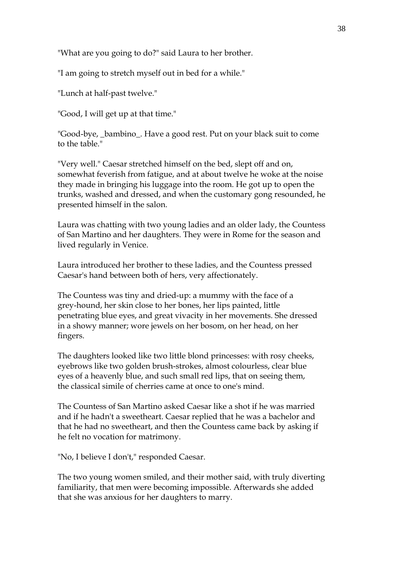"What are you going to do?" said Laura to her brother.

"I am going to stretch myself out in bed for a while."

"Lunch at half-past twelve."

"Good, I will get up at that time."

"Good-bye, \_bambino\_. Have a good rest. Put on your black suit to come to the table."

"Very well." Caesar stretched himself on the bed, slept off and on, somewhat feverish from fatigue, and at about twelve he woke at the noise they made in bringing his luggage into the room. He got up to open the trunks, washed and dressed, and when the customary gong resounded, he presented himself in the salon.

Laura was chatting with two young ladies and an older lady, the Countess of San Martino and her daughters. They were in Rome for the season and lived regularly in Venice.

Laura introduced her brother to these ladies, and the Countess pressed Caesar's hand between both of hers, very affectionately.

The Countess was tiny and dried-up: a mummy with the face of a grey-hound, her skin close to her bones, her lips painted, little penetrating blue eyes, and great vivacity in her movements. She dressed in a showy manner; wore jewels on her bosom, on her head, on her fingers.

The daughters looked like two little blond princesses: with rosy cheeks, eyebrows like two golden brush-strokes, almost colourless, clear blue eyes of a heavenly blue, and such small red lips, that on seeing them, the classical simile of cherries came at once to one's mind.

The Countess of San Martino asked Caesar like a shot if he was married and if he hadn't a sweetheart. Caesar replied that he was a bachelor and that he had no sweetheart, and then the Countess came back by asking if he felt no vocation for matrimony.

"No, I believe I don't," responded Caesar.

The two young women smiled, and their mother said, with truly diverting familiarity, that men were becoming impossible. Afterwards she added that she was anxious for her daughters to marry.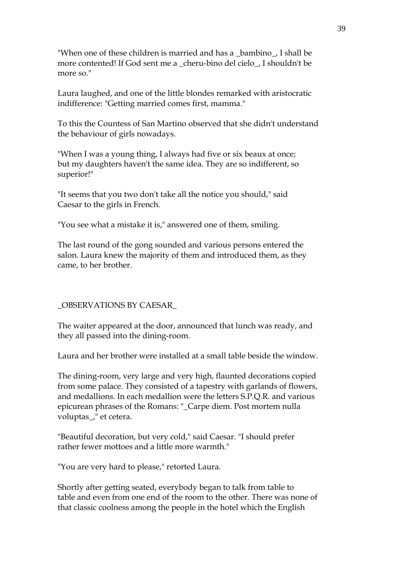"When one of these children is married and has a \_bambino\_, I shall be more contented! If God sent me a \_cheru-bino del cielo\_, I shouldn't be more so."

Laura laughed, and one of the little blondes remarked with aristocratic indifference: "Getting married comes first, mamma."

To this the Countess of San Martino observed that she didn't understand the behaviour of girls nowadays.

"When I was a young thing, I always had five or six beaux at once; but my daughters haven't the same idea. They are so indifferent, so superior!"

"It seems that you two don't take all the notice you should," said Caesar to the girls in French.

"You see what a mistake it is," answered one of them, smiling.

The last round of the gong sounded and various persons entered the salon. Laura knew the majority of them and introduced them, as they came, to her brother.

#### \_OBSERVATIONS BY CAESAR\_

The waiter appeared at the door, announced that lunch was ready, and they all passed into the dining-room.

Laura and her brother were installed at a small table beside the window.

The dining-room, very large and very high, flaunted decorations copied from some palace. They consisted of a tapestry with garlands of flowers, and medallions. In each medallion were the letters S.P.Q.R. and various epicurean phrases of the Romans: "\_Carpe diem. Post mortem nulla voluptas\_," et cetera.

"Beautiful decoration, but very cold," said Caesar. "I should prefer rather fewer mottoes and a little more warmth."

"You are very hard to please," retorted Laura.

Shortly after getting seated, everybody began to talk from table to table and even from one end of the room to the other. There was none of that classic coolness among the people in the hotel which the English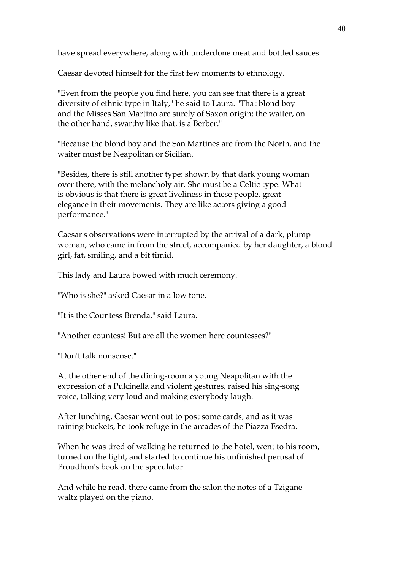have spread everywhere, along with underdone meat and bottled sauces.

Caesar devoted himself for the first few moments to ethnology.

"Even from the people you find here, you can see that there is a great diversity of ethnic type in Italy," he said to Laura. "That blond boy and the Misses San Martino are surely of Saxon origin; the waiter, on the other hand, swarthy like that, is a Berber."

"Because the blond boy and the San Martines are from the North, and the waiter must be Neapolitan or Sicilian.

"Besides, there is still another type: shown by that dark young woman over there, with the melancholy air. She must be a Celtic type. What is obvious is that there is great liveliness in these people, great elegance in their movements. They are like actors giving a good performance."

Caesar's observations were interrupted by the arrival of a dark, plump woman, who came in from the street, accompanied by her daughter, a blond girl, fat, smiling, and a bit timid.

This lady and Laura bowed with much ceremony.

"Who is she?" asked Caesar in a low tone.

"It is the Countess Brenda," said Laura.

"Another countess! But are all the women here countesses?"

"Don't talk nonsense."

At the other end of the dining-room a young Neapolitan with the expression of a Pulcinella and violent gestures, raised his sing-song voice, talking very loud and making everybody laugh.

After lunching, Caesar went out to post some cards, and as it was raining buckets, he took refuge in the arcades of the Piazza Esedra.

When he was tired of walking he returned to the hotel, went to his room, turned on the light, and started to continue his unfinished perusal of Proudhon's book on the speculator.

And while he read, there came from the salon the notes of a Tzigane waltz played on the piano.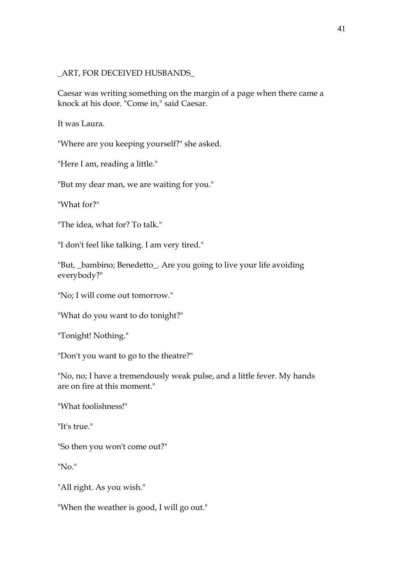#### \_ART, FOR DECEIVED HUSBANDS\_

Caesar was writing something on the margin of a page when there came a knock at his door. "Come in," said Caesar.

It was Laura.

"Where are you keeping yourself?" she asked.

"Here I am, reading a little."

"But my dear man, we are waiting for you."

"What for?"

"The idea, what for? To talk."

"I don't feel like talking. I am very tired."

"But, \_bambino; Benedetto\_. Are you going to live your life avoiding everybody?"

"No; I will come out tomorrow."

"What do you want to do tonight?"

"Tonight! Nothing."

"Don't you want to go to the theatre?"

"No, no; I have a tremendously weak pulse, and a little fever. My hands are on fire at this moment."

"What foolishness!"

"It's true."

"So then you won't come out?"

"No."

"All right. As you wish."

"When the weather is good, I will go out."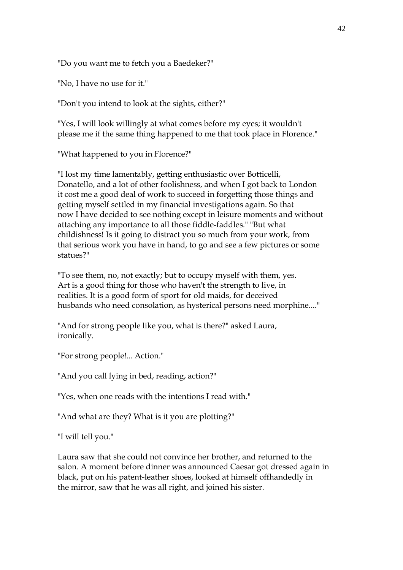"Do you want me to fetch you a Baedeker?"

"No, I have no use for it."

"Don't you intend to look at the sights, either?"

"Yes, I will look willingly at what comes before my eyes; it wouldn't please me if the same thing happened to me that took place in Florence."

"What happened to you in Florence?"

"I lost my time lamentably, getting enthusiastic over Botticelli, Donatello, and a lot of other foolishness, and when I got back to London it cost me a good deal of work to succeed in forgetting those things and getting myself settled in my financial investigations again. So that now I have decided to see nothing except in leisure moments and without attaching any importance to all those fiddle-faddles." "But what childishness! Is it going to distract you so much from your work, from that serious work you have in hand, to go and see a few pictures or some statues?"

"To see them, no, not exactly; but to occupy myself with them, yes. Art is a good thing for those who haven't the strength to live, in realities. It is a good form of sport for old maids, for deceived husbands who need consolation, as hysterical persons need morphine...."

"And for strong people like you, what is there?" asked Laura, ironically.

"For strong people!... Action."

"And you call lying in bed, reading, action?"

"Yes, when one reads with the intentions I read with."

"And what are they? What is it you are plotting?"

"I will tell you."

Laura saw that she could not convince her brother, and returned to the salon. A moment before dinner was announced Caesar got dressed again in black, put on his patent-leather shoes, looked at himself offhandedly in the mirror, saw that he was all right, and joined his sister.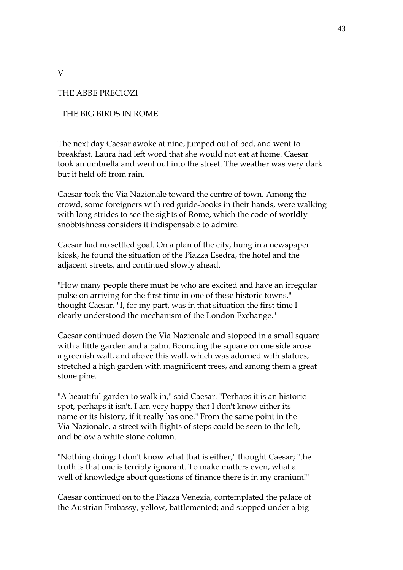THE ABBE PRECIOZI

V

\_THE BIG BIRDS IN ROME\_

The next day Caesar awoke at nine, jumped out of bed, and went to breakfast. Laura had left word that she would not eat at home. Caesar took an umbrella and went out into the street. The weather was very dark but it held off from rain.

Caesar took the Via Nazionale toward the centre of town. Among the crowd, some foreigners with red guide-books in their hands, were walking with long strides to see the sights of Rome, which the code of worldly snobbishness considers it indispensable to admire.

Caesar had no settled goal. On a plan of the city, hung in a newspaper kiosk, he found the situation of the Piazza Esedra, the hotel and the adjacent streets, and continued slowly ahead.

"How many people there must be who are excited and have an irregular pulse on arriving for the first time in one of these historic towns," thought Caesar. "I, for my part, was in that situation the first time I clearly understood the mechanism of the London Exchange."

Caesar continued down the Via Nazionale and stopped in a small square with a little garden and a palm. Bounding the square on one side arose a greenish wall, and above this wall, which was adorned with statues, stretched a high garden with magnificent trees, and among them a great stone pine.

"A beautiful garden to walk in," said Caesar. "Perhaps it is an historic spot, perhaps it isn't. I am very happy that I don't know either its name or its history, if it really has one." From the same point in the Via Nazionale, a street with flights of steps could be seen to the left, and below a white stone column.

"Nothing doing; I don't know what that is either," thought Caesar; "the truth is that one is terribly ignorant. To make matters even, what a well of knowledge about questions of finance there is in my cranium!"

Caesar continued on to the Piazza Venezia, contemplated the palace of the Austrian Embassy, yellow, battlemented; and stopped under a big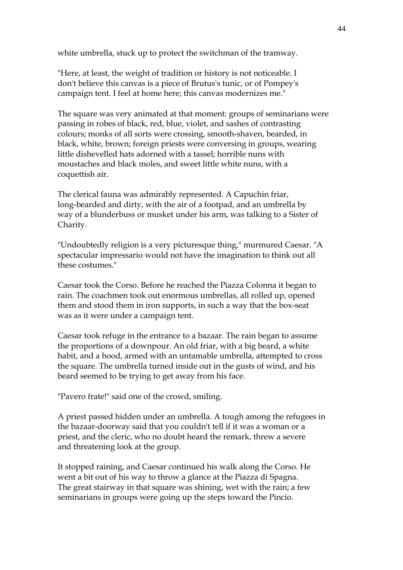white umbrella, stuck up to protect the switchman of the tramway.

"Here, at least, the weight of tradition or history is not noticeable. I don't believe this canvas is a piece of Brutus's tunic, or of Pompey's campaign tent. I feel at home here; this canvas modernizes me."

The square was very animated at that moment: groups of seminarians were passing in robes of black, red, blue, violet, and sashes of contrasting colours; monks of all sorts were crossing, smooth-shaven, bearded, in black, white, brown; foreign priests were conversing in groups, wearing little dishevelled hats adorned with a tassel; horrible nuns with moustaches and black moles, and sweet little white nuns, with a coquettish air.

The clerical fauna was admirably represented. A Capuchin friar, long-bearded and dirty, with the air of a footpad, and an umbrella by way of a blunderbuss or musket under his arm, was talking to a Sister of Charity.

"Undoubtedly religion is a very picturesque thing," murmured Caesar. "A spectacular impressario would not have the imagination to think out all these costumes."

Caesar took the Corso. Before he reached the Piazza Colonna it began to rain. The coachmen took out enormous umbrellas, all rolled up, opened them and stood them in iron supports, in such a way that the box-seat was as it were under a campaign tent.

Caesar took refuge in the entrance to a bazaar. The rain began to assume the proportions of a downpour. An old friar, with a big beard, a white habit, and a hood, armed with an untamable umbrella, attempted to cross the square. The umbrella turned inside out in the gusts of wind, and his beard seemed to be trying to get away from his face.

"Pavero frate!" said one of the crowd, smiling.

A priest passed hidden under an umbrella. A tough among the refugees in the bazaar-doorway said that you couldn't tell if it was a woman or a priest, and the cleric, who no doubt heard the remark, threw a severe and threatening look at the group.

It stopped raining, and Caesar continued his walk along the Corso. He went a bit out of his way to throw a glance at the Piazza di Spagna. The great stairway in that square was shining, wet with the rain; a few seminarians in groups were going up the steps toward the Pincio.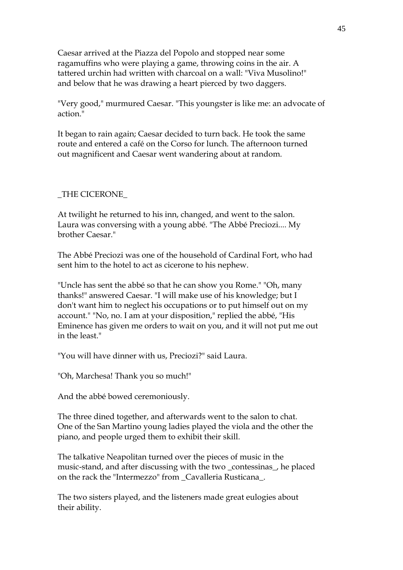Caesar arrived at the Piazza del Popolo and stopped near some ragamuffins who were playing a game, throwing coins in the air. A tattered urchin had written with charcoal on a wall: "Viva Musolino!" and below that he was drawing a heart pierced by two daggers.

"Very good," murmured Caesar. "This youngster is like me: an advocate of action."

It began to rain again; Caesar decided to turn back. He took the same route and entered a café on the Corso for lunch. The afternoon turned out magnificent and Caesar went wandering about at random.

#### \_THE CICERONE\_

At twilight he returned to his inn, changed, and went to the salon. Laura was conversing with a young abbé. "The Abbé Preciozi.... My brother Caesar."

The Abbé Preciozi was one of the household of Cardinal Fort, who had sent him to the hotel to act as cicerone to his nephew.

"Uncle has sent the abbé so that he can show you Rome." "Oh, many thanks!" answered Caesar. "I will make use of his knowledge; but I don't want him to neglect his occupations or to put himself out on my account." "No, no. I am at your disposition," replied the abbé, "His Eminence has given me orders to wait on you, and it will not put me out in the least."

"You will have dinner with us, Preciozi?" said Laura.

"Oh, Marchesa! Thank you so much!"

And the abbé bowed ceremoniously.

The three dined together, and afterwards went to the salon to chat. One of the San Martino young ladies played the viola and the other the piano, and people urged them to exhibit their skill.

The talkative Neapolitan turned over the pieces of music in the music-stand, and after discussing with the two \_contessinas\_, he placed on the rack the "Intermezzo" from \_Cavalleria Rusticana\_.

The two sisters played, and the listeners made great eulogies about their ability.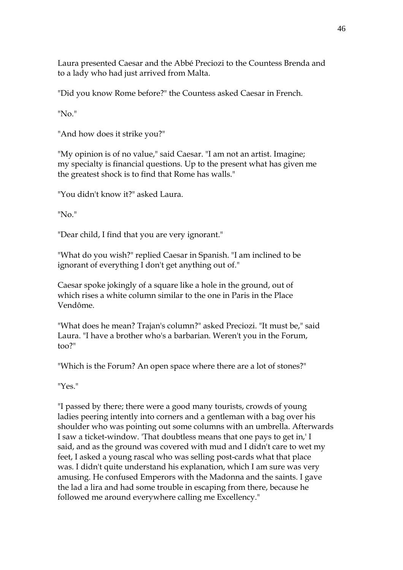Laura presented Caesar and the Abbé Preciozi to the Countess Brenda and to a lady who had just arrived from Malta.

"Did you know Rome before?" the Countess asked Caesar in French.

"No."

"And how does it strike you?"

"My opinion is of no value," said Caesar. "I am not an artist. Imagine; my specialty is financial questions. Up to the present what has given me the greatest shock is to find that Rome has walls."

"You didn't know it?" asked Laura.

"No."

"Dear child, I find that you are very ignorant."

"What do you wish?" replied Caesar in Spanish. "I am inclined to be ignorant of everything I don't get anything out of."

Caesar spoke jokingly of a square like a hole in the ground, out of which rises a white column similar to the one in Paris in the Place Vendôme.

"What does he mean? Trajan's column?" asked Preciozi. "It must be," said Laura. "I have a brother who's a barbarian. Weren't you in the Forum, too?"

"Which is the Forum? An open space where there are a lot of stones?"

"Yes."

"I passed by there; there were a good many tourists, crowds of young ladies peering intently into corners and a gentleman with a bag over his shoulder who was pointing out some columns with an umbrella. Afterwards I saw a ticket-window. 'That doubtless means that one pays to get in,' I said, and as the ground was covered with mud and I didn't care to wet my feet, I asked a young rascal who was selling post-cards what that place was. I didn't quite understand his explanation, which I am sure was very amusing. He confused Emperors with the Madonna and the saints. I gave the lad a lira and had some trouble in escaping from there, because he followed me around everywhere calling me Excellency."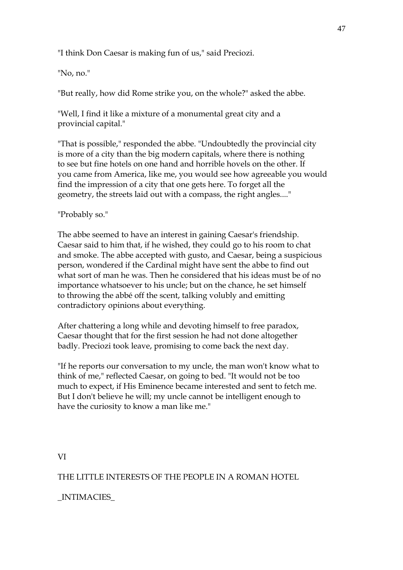"I think Don Caesar is making fun of us," said Preciozi.

"No, no."

"But really, how did Rome strike you, on the whole?" asked the abbe.

"Well, I find it like a mixture of a monumental great city and a provincial capital."

"That is possible," responded the abbe. "Undoubtedly the provincial city is more of a city than the big modern capitals, where there is nothing to see but fine hotels on one hand and horrible hovels on the other. If you came from America, like me, you would see how agreeable you would find the impression of a city that one gets here. To forget all the geometry, the streets laid out with a compass, the right angles...."

## "Probably so."

The abbe seemed to have an interest in gaining Caesar's friendship. Caesar said to him that, if he wished, they could go to his room to chat and smoke. The abbe accepted with gusto, and Caesar, being a suspicious person, wondered if the Cardinal might have sent the abbe to find out what sort of man he was. Then he considered that his ideas must be of no importance whatsoever to his uncle; but on the chance, he set himself to throwing the abbé off the scent, talking volubly and emitting contradictory opinions about everything.

After chattering a long while and devoting himself to free paradox, Caesar thought that for the first session he had not done altogether badly. Preciozi took leave, promising to come back the next day.

"If he reports our conversation to my uncle, the man won't know what to think of me," reflected Caesar, on going to bed. "It would not be too much to expect, if His Eminence became interested and sent to fetch me. But I don't believe he will; my uncle cannot be intelligent enough to have the curiosity to know a man like me."

VI

THE LITTLE INTERESTS OF THE PEOPLE IN A ROMAN HOTEL

# \_INTIMACIES\_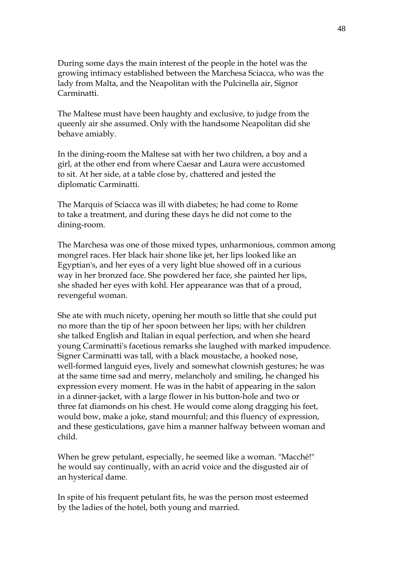During some days the main interest of the people in the hotel was the growing intimacy established between the Marchesa Sciacca, who was the lady from Malta, and the Neapolitan with the Pulcinella air, Signor Carminatti.

The Maltese must have been haughty and exclusive, to judge from the queenly air she assumed. Only with the handsome Neapolitan did she behave amiably.

In the dining-room the Maltese sat with her two children, a boy and a girl, at the other end from where Caesar and Laura were accustomed to sit. At her side, at a table close by, chattered and jested the diplomatic Carminatti.

The Marquis of Sciacca was ill with diabetes; he had come to Rome to take a treatment, and during these days he did not come to the dining-room.

The Marchesa was one of those mixed types, unharmonious, common among mongrel races. Her black hair shone like jet, her lips looked like an Egyptian's, and her eyes of a very light blue showed off in a curious way in her bronzed face. She powdered her face, she painted her lips, she shaded her eyes with kohl. Her appearance was that of a proud, revengeful woman.

She ate with much nicety, opening her mouth so little that she could put no more than the tip of her spoon between her lips; with her children she talked English and Italian in equal perfection, and when she heard young Carminatti's facetious remarks she laughed with marked impudence. Signer Carminatti was tall, with a black moustache, a hooked nose, well-formed languid eyes, lively and somewhat clownish gestures; he was at the same time sad and merry, melancholy and smiling, he changed his expression every moment. He was in the habit of appearing in the salon in a dinner-jacket, with a large flower in his button-hole and two or three fat diamonds on his chest. He would come along dragging his feet, would bow, make a joke, stand mournful; and this fluency of expression, and these gesticulations, gave him a manner halfway between woman and child.

When he grew petulant, especially, he seemed like a woman. "Macché!" he would say continually, with an acrid voice and the disgusted air of an hysterical dame.

In spite of his frequent petulant fits, he was the person most esteemed by the ladies of the hotel, both young and married.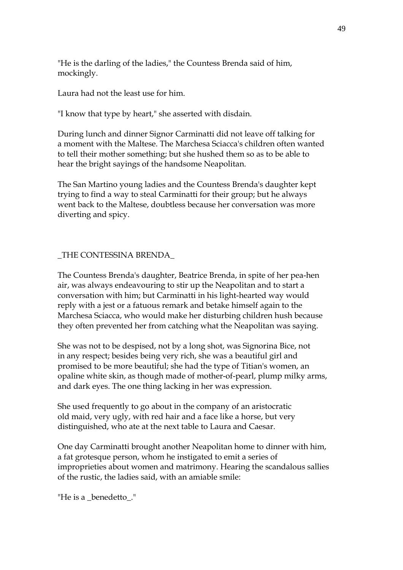"He is the darling of the ladies," the Countess Brenda said of him, mockingly.

Laura had not the least use for him.

"I know that type by heart," she asserted with disdain.

During lunch and dinner Signor Carminatti did not leave off talking for a moment with the Maltese. The Marchesa Sciacca's children often wanted to tell their mother something; but she hushed them so as to be able to hear the bright sayings of the handsome Neapolitan.

The San Martino young ladies and the Countess Brenda's daughter kept trying to find a way to steal Carminatti for their group; but he always went back to the Maltese, doubtless because her conversation was more diverting and spicy.

# \_THE CONTESSINA BRENDA\_

The Countess Brenda's daughter, Beatrice Brenda, in spite of her pea-hen air, was always endeavouring to stir up the Neapolitan and to start a conversation with him; but Carminatti in his light-hearted way would reply with a jest or a fatuous remark and betake himself again to the Marchesa Sciacca, who would make her disturbing children hush because they often prevented her from catching what the Neapolitan was saying.

She was not to be despised, not by a long shot, was Signorina Bice, not in any respect; besides being very rich, she was a beautiful girl and promised to be more beautiful; she had the type of Titian's women, an opaline white skin, as though made of mother-of-pearl, plump milky arms, and dark eyes. The one thing lacking in her was expression.

She used frequently to go about in the company of an aristocratic old maid, very ugly, with red hair and a face like a horse, but very distinguished, who ate at the next table to Laura and Caesar.

One day Carminatti brought another Neapolitan home to dinner with him, a fat grotesque person, whom he instigated to emit a series of improprieties about women and matrimony. Hearing the scandalous sallies of the rustic, the ladies said, with an amiable smile:

"He is a benedetto."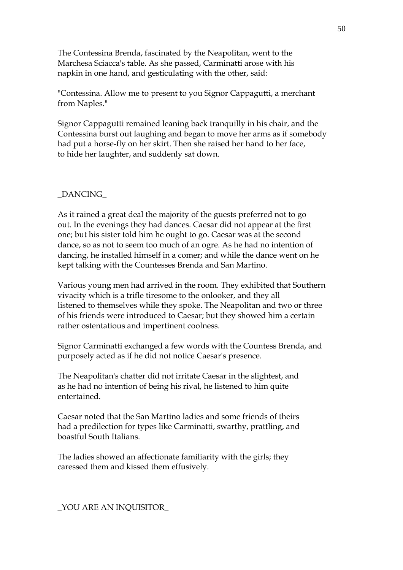The Contessina Brenda, fascinated by the Neapolitan, went to the Marchesa Sciacca's table. As she passed, Carminatti arose with his napkin in one hand, and gesticulating with the other, said:

"Contessina. Allow me to present to you Signor Cappagutti, a merchant from Naples."

Signor Cappagutti remained leaning back tranquilly in his chair, and the Contessina burst out laughing and began to move her arms as if somebody had put a horse-fly on her skirt. Then she raised her hand to her face, to hide her laughter, and suddenly sat down.

## \_DANCING\_

As it rained a great deal the majority of the guests preferred not to go out. In the evenings they had dances. Caesar did not appear at the first one; but his sister told him he ought to go. Caesar was at the second dance, so as not to seem too much of an ogre. As he had no intention of dancing, he installed himself in a comer; and while the dance went on he kept talking with the Countesses Brenda and San Martino.

Various young men had arrived in the room. They exhibited that Southern vivacity which is a trifle tiresome to the onlooker, and they all listened to themselves while they spoke. The Neapolitan and two or three of his friends were introduced to Caesar; but they showed him a certain rather ostentatious and impertinent coolness.

Signor Carminatti exchanged a few words with the Countess Brenda, and purposely acted as if he did not notice Caesar's presence.

The Neapolitan's chatter did not irritate Caesar in the slightest, and as he had no intention of being his rival, he listened to him quite entertained.

Caesar noted that the San Martino ladies and some friends of theirs had a predilection for types like Carminatti, swarthy, prattling, and boastful South Italians.

The ladies showed an affectionate familiarity with the girls; they caressed them and kissed them effusively.

\_YOU ARE AN INQUISITOR\_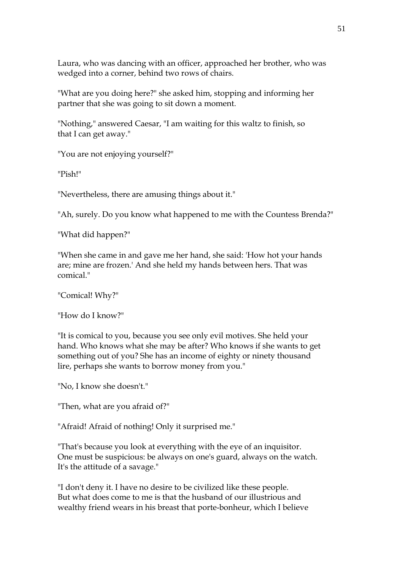Laura, who was dancing with an officer, approached her brother, who was wedged into a corner, behind two rows of chairs.

"What are you doing here?" she asked him, stopping and informing her partner that she was going to sit down a moment.

"Nothing," answered Caesar, "I am waiting for this waltz to finish, so that I can get away."

"You are not enjoying yourself?"

"Pish!"

"Nevertheless, there are amusing things about it."

"Ah, surely. Do you know what happened to me with the Countess Brenda?"

"What did happen?"

"When she came in and gave me her hand, she said: 'How hot your hands are; mine are frozen.' And she held my hands between hers. That was comical."

"Comical! Why?"

"How do I know?"

"It is comical to you, because you see only evil motives. She held your hand. Who knows what she may be after? Who knows if she wants to get something out of you? She has an income of eighty or ninety thousand lire, perhaps she wants to borrow money from you."

"No, I know she doesn't."

"Then, what are you afraid of?"

"Afraid! Afraid of nothing! Only it surprised me."

"That's because you look at everything with the eye of an inquisitor. One must be suspicious: be always on one's guard, always on the watch. It's the attitude of a savage."

"I don't deny it. I have no desire to be civilized like these people. But what does come to me is that the husband of our illustrious and wealthy friend wears in his breast that porte-bonheur, which I believe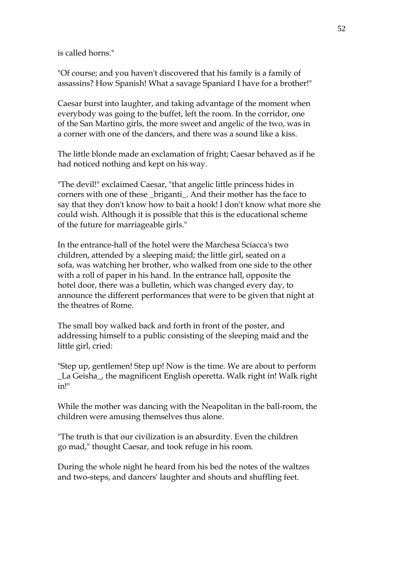is called horns."

"Of course; and you haven't discovered that his family is a family of assassins? How Spanish! What a savage Spaniard I have for a brother!"

Caesar burst into laughter, and taking advantage of the moment when everybody was going to the buffet, left the room. In the corridor, one of the San Martino girls, the more sweet and angelic of the two, was in a corner with one of the dancers, and there was a sound like a kiss.

The little blonde made an exclamation of fright; Caesar behaved as if he had noticed nothing and kept on his way.

"The devil!" exclaimed Caesar, "that angelic little princess hides in corners with one of these \_briganti\_. And their mother has the face to say that they don't know how to bait a hook! I don't know what more she could wish. Although it is possible that this is the educational scheme of the future for marriageable girls."

In the entrance-hall of the hotel were the Marchesa Sciacca's two children, attended by a sleeping maid; the little girl, seated on a sofa, was watching her brother, who walked from one side to the other with a roll of paper in his hand. In the entrance hall, opposite the hotel door, there was a bulletin, which was changed every day, to announce the different performances that were to be given that night at the theatres of Rome.

The small boy walked back and forth in front of the poster, and addressing himself to a public consisting of the sleeping maid and the little girl, cried:

"Step up, gentlemen! Step up! Now is the time. We are about to perform La Geisha, the magnificent English operetta. Walk right in! Walk right in!"

While the mother was dancing with the Neapolitan in the ball-room, the children were amusing themselves thus alone.

"The truth is that our civilization is an absurdity. Even the children go mad," thought Caesar, and took refuge in his room.

During the whole night he heard from his bed the notes of the waltzes and two-steps, and dancers' laughter and shouts and shuffling feet.